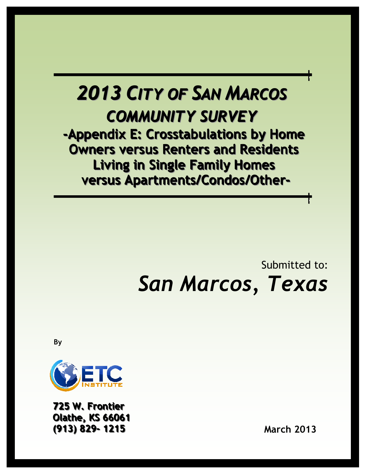# 2013 CITY OF SAN MARCOS COMMUNITY SURVEY

-Appendix E: Crosstabulations by Home Owners versus Renters and Residents Living in Single Family Homes versus Apartments/Condos/Other-

## Submitted to: San Marcos, Texas

By



725 W. Frontier **Olathe, KS 66061** ((913)) 829-- 1215 March 2013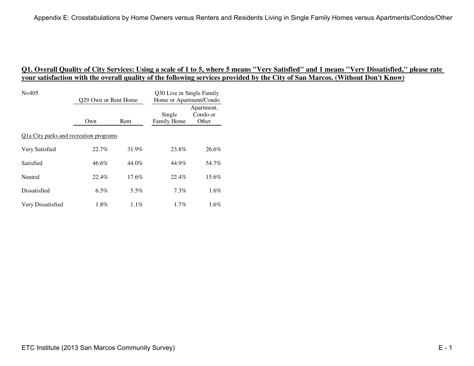| $N = 405$                              | Q29 Own or Rent Home |          | Q30 Live in Single Family<br>Home or Apartment/Condo |                                 |
|----------------------------------------|----------------------|----------|------------------------------------------------------|---------------------------------|
|                                        | Own                  | Rent     | Single<br>Family Home                                | Apartment,<br>Condo or<br>Other |
| Q1a City parks and recreation programs |                      |          |                                                      |                                 |
| Very Satisfied                         | 22.7%                | 31.9%    | 23.8%                                                | 26.6%                           |
| Satisfied                              | 46.6%                | 44.0%    | 44.9%                                                | 54.7%                           |
| Neutral                                | 22.4%                | $17.6\%$ | 22.4%                                                | $15.6\%$                        |
| Dissatisfied                           | $6.5\%$              | 5.5%     | 7.3%                                                 | $1.6\%$                         |
| Very Dissatisfied                      | $1.8\%$              | $1.1\%$  | 1.7%                                                 | $1.6\%$                         |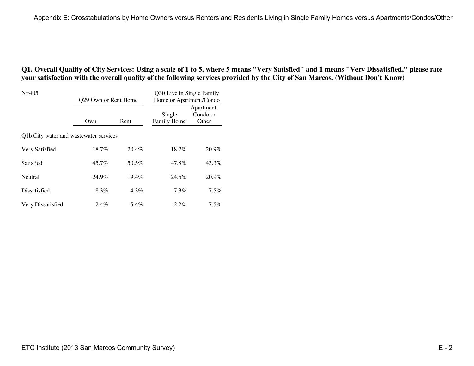| $N = 405$                              | Q29 Own or Rent Home |          | Q30 Live in Single Family<br>Home or Apartment/Condo |                                 |
|----------------------------------------|----------------------|----------|------------------------------------------------------|---------------------------------|
|                                        | Own                  | Rent     | Single<br>Family Home                                | Apartment,<br>Condo or<br>Other |
| Q1b City water and wastewater services |                      |          |                                                      |                                 |
| Very Satisfied                         | $18.7\%$             | 20.4%    | 18.2%                                                | 20.9%                           |
| Satisfied                              | 45.7%                | 50.5%    | 47.8%                                                | 43.3%                           |
| Neutral                                | 24.9%                | $19.4\%$ | 24.5%                                                | 20.9%                           |
| Dissatisfied                           | 8.3%                 | $4.3\%$  | 7.3%                                                 | $7.5\%$                         |
| Very Dissatisfied                      | $2.4\%$              | 5.4%     | $2.2\%$                                              | $7.5\%$                         |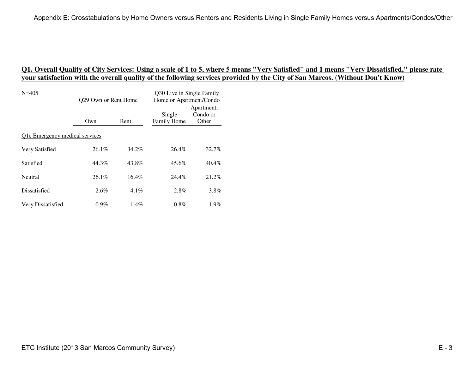| $N = 405$                      | Q29 Own or Rent Home |          | Q30 Live in Single Family<br>Home or Apartment/Condo |                                 |
|--------------------------------|----------------------|----------|------------------------------------------------------|---------------------------------|
|                                | Own                  | Rent     | Single<br>Family Home                                | Apartment,<br>Condo or<br>Other |
| Q1c Emergency medical services |                      |          |                                                      |                                 |
| Very Satisfied                 | $26.1\%$             | 34.2%    | 26.4%                                                | 32.7%                           |
| Satisfied                      | 44.3%                | 43.8%    | 45.6%                                                | 40.4%                           |
| Neutral                        | $26.1\%$             | $16.4\%$ | 24.4%                                                | 21.2%                           |
| Dissatisfied                   | $2.6\%$              | $4.1\%$  | 2.8%                                                 | 3.8%                            |
| Very Dissatisfied              | $0.9\%$              | $1.4\%$  | $0.8\%$                                              | $1.9\%$                         |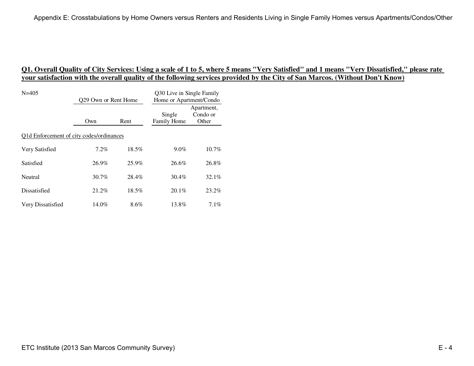| $N = 405$                                | Q29 Own or Rent Home |          | Q30 Live in Single Family<br>Home or Apartment/Condo |                                 |
|------------------------------------------|----------------------|----------|------------------------------------------------------|---------------------------------|
|                                          | Own                  | Rent     | Single<br>Family Home                                | Apartment,<br>Condo or<br>Other |
| Q1d Enforcement of city codes/ordinances |                      |          |                                                      |                                 |
| Very Satisfied                           | $7.2\%$              | 18.5%    | $9.0\%$                                              | $10.7\%$                        |
| Satisfied                                | 26.9%                | 25.9%    | 26.6%                                                | 26.8%                           |
| Neutral                                  | $30.7\%$             | 28.4%    | 30.4%                                                | $32.1\%$                        |
| Dissatisfied                             | 21.2%                | $18.5\%$ | $20.1\%$                                             | $23.2\%$                        |
| Very Dissatisfied                        | 14.0%                | $8.6\%$  | 13.8%                                                | $7.1\%$                         |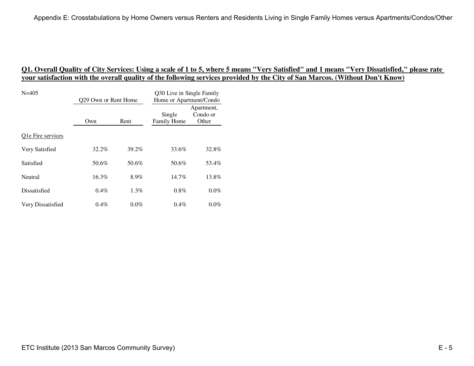| $N = 405$         | 029 Own or Rent Home |         | Q30 Live in Single Family<br>Home or Apartment/Condo |                                 |
|-------------------|----------------------|---------|------------------------------------------------------|---------------------------------|
|                   | Own                  | Rent    | Single<br>Family Home                                | Apartment,<br>Condo or<br>Other |
| Q1e Fire services |                      |         |                                                      |                                 |
| Very Satisfied    | 32.2%                | 39.2%   | 33.6%                                                | 32.8%                           |
| Satisfied         | 50.6%                | 50.6%   | 50.6%                                                | 53.4%                           |
| Neutral           | 16.3%                | 8.9%    | $14.7\%$                                             | 13.8%                           |
| Dissatisfied      | $0.4\%$              | $1.3\%$ | 0.8%                                                 | $0.0\%$                         |
| Very Dissatisfied | $0.4\%$              | $0.0\%$ | $0.4\%$                                              | $0.0\%$                         |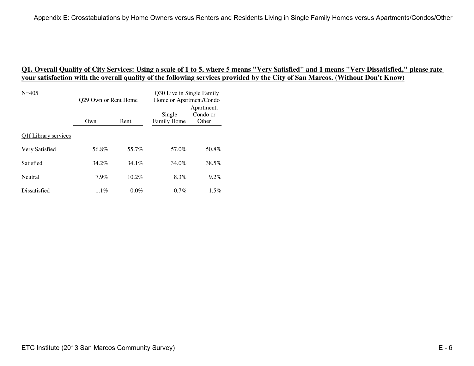| $N = 405$            | 029 Own or Rent Home |          | Q30 Live in Single Family<br>Home or Apartment/Condo |                                 |
|----------------------|----------------------|----------|------------------------------------------------------|---------------------------------|
|                      | Own                  | Rent     | Single<br>Family Home                                | Apartment,<br>Condo or<br>Other |
| Olf Library services |                      |          |                                                      |                                 |
| Very Satisfied       | 56.8%                | 55.7%    | 57.0%                                                | 50.8%                           |
| Satisfied            | $34.2\%$             | $34.1\%$ | 34.0%                                                | 38.5%                           |
| Neutral              | 7.9%                 | 10.2%    | 8.3%                                                 | $9.2\%$                         |
| Dissatisfied         | $1.1\%$              | $0.0\%$  | 0.7%                                                 | $1.5\%$                         |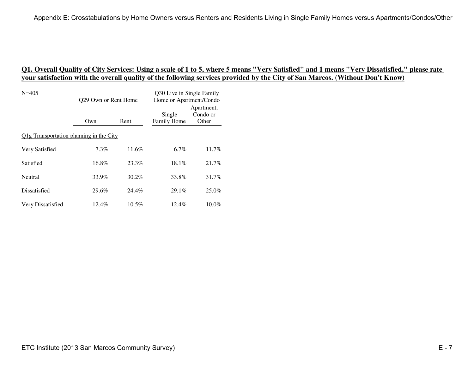| $N = 405$                               | 029 Own or Rent Home |          | Q30 Live in Single Family<br>Home or Apartment/Condo |                                 |
|-----------------------------------------|----------------------|----------|------------------------------------------------------|---------------------------------|
|                                         | Own                  | Rent     | Single<br>Family Home                                | Apartment,<br>Condo or<br>Other |
| Olg Transportation planning in the City |                      |          |                                                      |                                 |
| Very Satisfied                          | $7.3\%$              | 11.6%    | $6.7\%$                                              | 11.7%                           |
| Satisfied                               | $16.8\%$             | 23.3%    | 18.1%                                                | 21.7%                           |
| Neutral                                 | 33.9%                | $30.2\%$ | 33.8%                                                | 31.7%                           |
| Dissatisfied                            | 29.6%                | 24.4%    | 29.1%                                                | 25.0%                           |
| Very Dissatisfied                       | $12.4\%$             | $10.5\%$ | $12.4\%$                                             | $10.0\%$                        |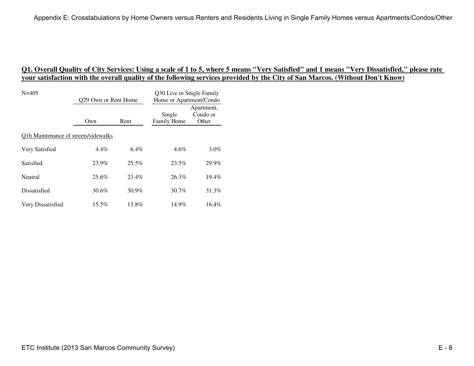| $N = 405$                            | Q29 Own or Rent Home |         | Q30 Live in Single Family<br>Home or Apartment/Condo |                                 |
|--------------------------------------|----------------------|---------|------------------------------------------------------|---------------------------------|
|                                      | Own                  | Rent    | Single<br>Family Home                                | Apartment,<br>Condo or<br>Other |
| Q1h Maintenance of streets/sidewalks |                      |         |                                                      |                                 |
| Very Satisfied                       | $4.4\%$              | $6.4\%$ | $4.6\%$                                              | $3.0\%$                         |
| Satisfied                            | 23.9%                | 25.5%   | 23.5%                                                | 29.9%                           |
| Neutral                              | 25.6%                | 23.4%   | 26.3%                                                | $19.4\%$                        |
| Dissatisfied                         | 30.6%                | 30.9%   | 30.7%                                                | 31.3%                           |
| Very Dissatisfied                    | 15.5%                | 13.8%   | 14.9%                                                | $16.4\%$                        |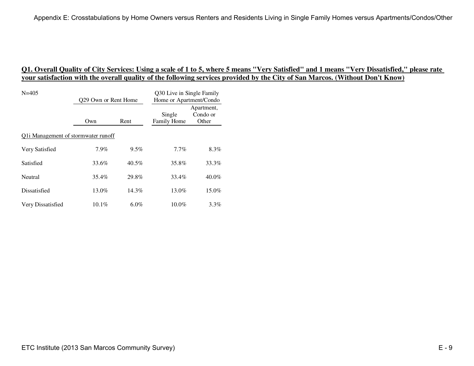| $N = 405$                           | Q29 Own or Rent Home |          | Q30 Live in Single Family<br>Home or Apartment/Condo |                                 |
|-------------------------------------|----------------------|----------|------------------------------------------------------|---------------------------------|
|                                     | Own                  | Rent     | Single<br>Family Home                                | Apartment,<br>Condo or<br>Other |
| Q1i Management of stormwater runoff |                      |          |                                                      |                                 |
| Very Satisfied                      | $7.9\%$              | $9.5\%$  | $7.7\%$                                              | $8.3\%$                         |
| Satisfied                           | 33.6%                | $40.5\%$ | 35.8%                                                | 33.3%                           |
| Neutral                             | 35.4%                | 29.8%    | 33.4%                                                | $40.0\%$                        |
| Dissatisfied                        | $13.0\%$             | $14.3\%$ | 13.0%                                                | $15.0\%$                        |
| Very Dissatisfied                   | $10.1\%$             | $6.0\%$  | $10.0\%$                                             | $3.3\%$                         |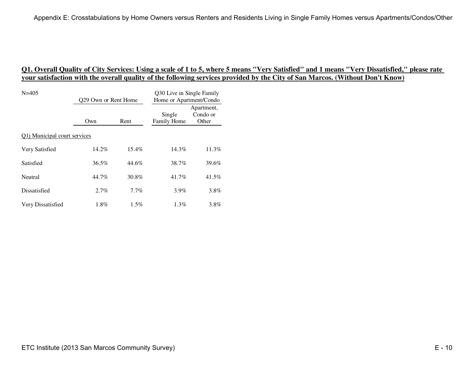| $N = 405$                            | 029 Own or Rent Home |          | Q30 Live in Single Family<br>Home or Apartment/Condo |                                 |  |
|--------------------------------------|----------------------|----------|------------------------------------------------------|---------------------------------|--|
|                                      | Own                  | Rent     | Single<br>Family Home                                | Apartment,<br>Condo or<br>Other |  |
| Q1 <i>j</i> Municipal court services |                      |          |                                                      |                                 |  |
| Very Satisfied                       | 14.2%                | $15.4\%$ | 14.3%                                                | 11.3%                           |  |
| Satisfied                            | $36.5\%$             | 44.6%    | 38.7%                                                | 39.6%                           |  |
| Neutral                              | 44.7%                | 30.8%    | 41.7%                                                | 41.5%                           |  |
| Dissatisfied                         | $2.7\%$              | $7.7\%$  | 3.9%                                                 | 3.8%                            |  |
| Very Dissatisfied                    | $1.8\%$              | $1.5\%$  | $1.3\%$                                              | $3.8\%$                         |  |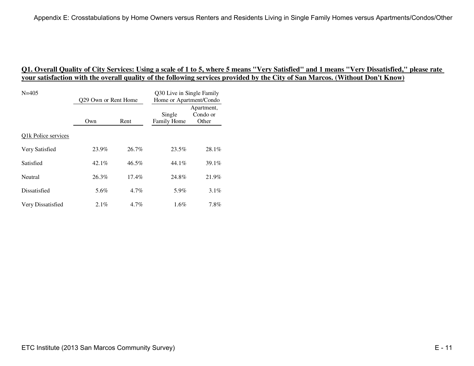| $N = 405$           | Q29 Own or Rent Home |          | Q30 Live in Single Family<br>Home or Apartment/Condo |                                 |
|---------------------|----------------------|----------|------------------------------------------------------|---------------------------------|
|                     | Own                  | Rent     | Single<br>Family Home                                | Apartment,<br>Condo or<br>Other |
| Q1k Police services |                      |          |                                                      |                                 |
| Very Satisfied      | 23.9%                | $26.7\%$ | 23.5%                                                | 28.1%                           |
| Satisfied           | 42.1%                | $46.5\%$ | $44.1\%$                                             | 39.1%                           |
| Neutral             | 26.3%                | $17.4\%$ | 24.8%                                                | 21.9%                           |
| Dissatisfied        | 5.6%                 | $4.7\%$  | 5.9%                                                 | $3.1\%$                         |
| Very Dissatisfied   | 2.1%                 | $4.7\%$  | 1.6%                                                 | $7.8\%$                         |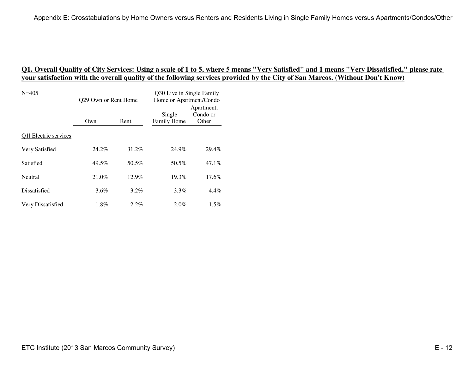| $N = 405$             | 029 Own or Rent Home |          | Q30 Live in Single Family<br>Home or Apartment/Condo |                                 |
|-----------------------|----------------------|----------|------------------------------------------------------|---------------------------------|
|                       | Own                  | Rent     | Single<br>Family Home                                | Apartment,<br>Condo or<br>Other |
| Q11 Electric services |                      |          |                                                      |                                 |
| Very Satisfied        | 24.2%                | 31.2%    | 24.9%                                                | 29.4%                           |
| Satisfied             | 49.5%                | 50.5%    | 50.5%                                                | 47.1%                           |
| Neutral               | 21.0%                | $12.9\%$ | 19.3%                                                | $17.6\%$                        |
| Dissatisfied          | $3.6\%$              | $3.2\%$  | 3.3%                                                 | 4.4%                            |
| Very Dissatisfied     | $1.8\%$              | $2.2\%$  | $2.0\%$                                              | $1.5\%$                         |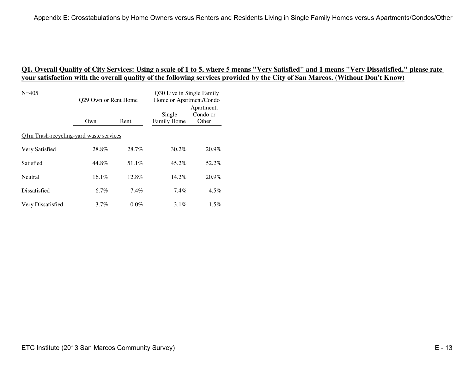| $N = 405$                               | 029 Own or Rent Home |         | Q30 Live in Single Family<br>Home or Apartment/Condo |                                 |
|-----------------------------------------|----------------------|---------|------------------------------------------------------|---------------------------------|
|                                         | Own                  | Rent    | Single<br>Family Home                                | Apartment,<br>Condo or<br>Other |
| Q1m Trash-recycling-yard waste services |                      |         |                                                      |                                 |
| Very Satisfied                          | 28.8%                | 28.7%   | 30.2%                                                | 20.9%                           |
| Satisfied                               | 44.8%                | 51.1%   | 45.2%                                                | 52.2%                           |
| Neutral                                 | $16.1\%$             | 12.8%   | 14.2%                                                | 20.9%                           |
| Dissatisfied                            | $6.7\%$              | $7.4\%$ | 7.4%                                                 | $4.5\%$                         |
| Very Dissatisfied                       | $3.7\%$              | $0.0\%$ | $3.1\%$                                              | $1.5\%$                         |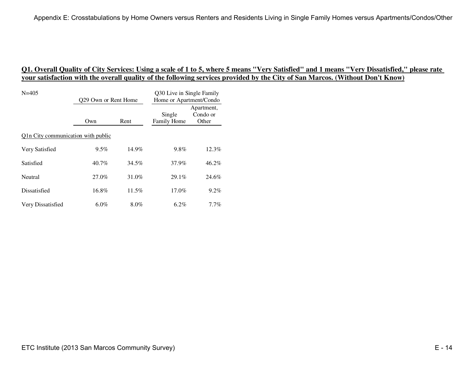| $N = 405$                          | Q29 Own or Rent Home |          | Q30 Live in Single Family<br>Home or Apartment/Condo |                                 |  |
|------------------------------------|----------------------|----------|------------------------------------------------------|---------------------------------|--|
|                                    | Own                  | Rent     | Single<br>Family Home                                | Apartment,<br>Condo or<br>Other |  |
| Q1n City communication with public |                      |          |                                                      |                                 |  |
| Very Satisfied                     | $9.5\%$              | 14.9%    | 9.8%                                                 | 12.3%                           |  |
| Satisfied                          | 40.7%                | 34.5%    | 37.9%                                                | 46.2%                           |  |
| Neutral                            | 27.0%                | 31.0%    | 29.1%                                                | 24.6%                           |  |
| Dissatisfied                       | $16.8\%$             | $11.5\%$ | 17.0%                                                | $9.2\%$                         |  |
| Very Dissatisfied                  | $6.0\%$              | $8.0\%$  | 6.2%                                                 | $7.7\%$                         |  |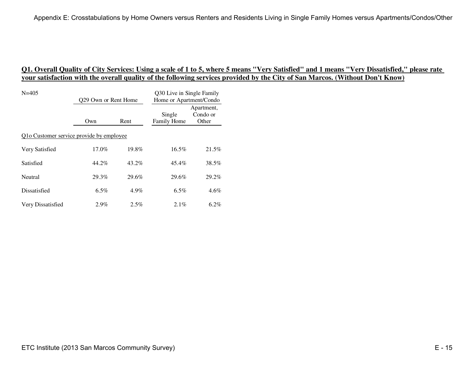| $N = 405$                                | Q29 Own or Rent Home |          | Q30 Live in Single Family<br>Home or Apartment/Condo |                                 |  |
|------------------------------------------|----------------------|----------|------------------------------------------------------|---------------------------------|--|
|                                          | Own                  | Rent     | Single<br>Family Home                                | Apartment,<br>Condo or<br>Other |  |
| Q1o Customer service provide by employee |                      |          |                                                      |                                 |  |
| Very Satisfied                           | $17.0\%$             | $19.8\%$ | $16.5\%$                                             | 21.5%                           |  |
| Satisfied                                | 44.2%                | 43.2%    | 45.4%                                                | 38.5%                           |  |
| Neutral                                  | 29.3%                | 29.6%    | 29.6%                                                | 29.2%                           |  |
| Dissatisfied                             | $6.5\%$              | $4.9\%$  | 6.5%                                                 | $4.6\%$                         |  |
| Very Dissatisfied                        | 2.9%                 | $2.5\%$  | $2.1\%$                                              | $6.2\%$                         |  |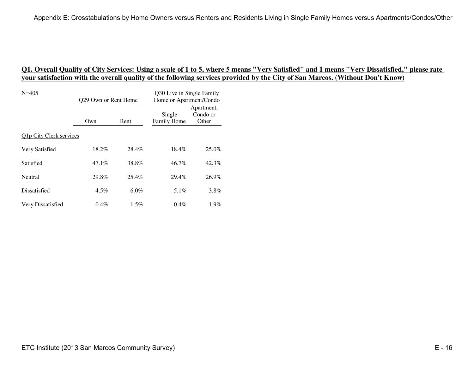| $N = 405$               | 029 Own or Rent Home |         | Q30 Live in Single Family<br>Home or Apartment/Condo |                                 |
|-------------------------|----------------------|---------|------------------------------------------------------|---------------------------------|
|                         | Own                  | Rent    | Single<br>Family Home                                | Apartment,<br>Condo or<br>Other |
| Q1p City Clerk services |                      |         |                                                      |                                 |
| Very Satisfied          | 18.2%                | 28.4%   | 18.4%                                                | 25.0%                           |
| Satisfied               | $47.1\%$             | 38.8%   | $46.7\%$                                             | 42.3%                           |
| Neutral                 | 29.8%                | 25.4%   | 29.4%                                                | 26.9%                           |
| Dissatisfied            | $4.5\%$              | $6.0\%$ | $5.1\%$                                              | 3.8%                            |
| Very Dissatisfied       | $0.4\%$              | $1.5\%$ | $0.4\%$                                              | $1.9\%$                         |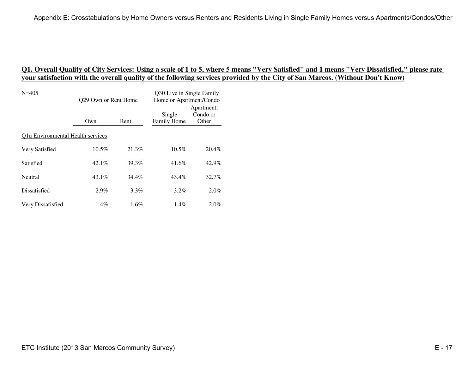| $N = 405$                                      | Q29 Own or Rent Home |         | Q30 Live in Single Family<br>Home or Apartment/Condo |                                 |  |
|------------------------------------------------|----------------------|---------|------------------------------------------------------|---------------------------------|--|
|                                                | Own                  | Rent    | Single<br>Family Home                                | Apartment,<br>Condo or<br>Other |  |
| Q <sub>1</sub> q Environmental Health services |                      |         |                                                      |                                 |  |
| Very Satisfied                                 | $10.5\%$             | 21.3%   | $10.5\%$                                             | 20.4%                           |  |
| Satisfied                                      | $42.1\%$             | 39.3%   | 41.6%                                                | 42.9%                           |  |
| Neutral                                        | $43.1\%$             | 34.4%   | 43.4%                                                | 32.7%                           |  |
| Dissatisfied                                   | $2.9\%$              | $3.3\%$ | 3.2%                                                 | $2.0\%$                         |  |
| Very Dissatisfied                              | $1.4\%$              | 1.6%    | $1.4\%$                                              | $2.0\%$                         |  |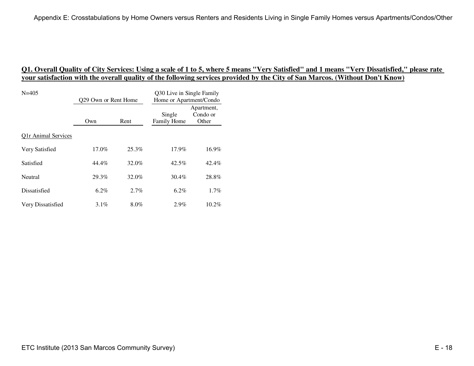| $N = 405$           | 029 Own or Rent Home |         | Q30 Live in Single Family<br>Home or Apartment/Condo |                                 |
|---------------------|----------------------|---------|------------------------------------------------------|---------------------------------|
|                     | Own                  | Rent    | Single<br>Family Home                                | Apartment,<br>Condo or<br>Other |
| Q1r Animal Services |                      |         |                                                      |                                 |
| Very Satisfied      | $17.0\%$             | 25.3%   | 17.9%                                                | 16.9%                           |
| Satisfied           | 44.4%                | 32.0%   | 42.5%                                                | 42.4%                           |
| Neutral             | 29.3%                | 32.0%   | 30.4%                                                | 28.8%                           |
| Dissatisfied        | $6.2\%$              | $2.7\%$ | 6.2%                                                 | $1.7\%$                         |
| Very Dissatisfied   | $3.1\%$              | $8.0\%$ | 2.9%                                                 | $10.2\%$                        |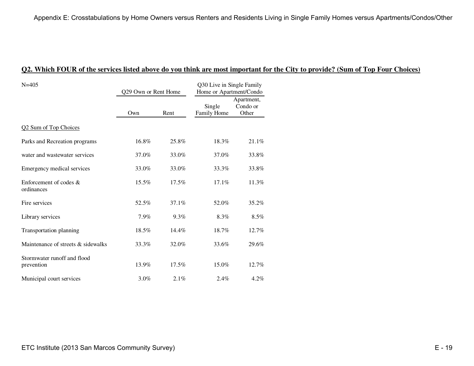| $N = 405$                                 | Q29 Own or Rent Home |       | Q30 Live in Single Family<br>Home or Apartment/Condo |                                 |
|-------------------------------------------|----------------------|-------|------------------------------------------------------|---------------------------------|
|                                           | Own                  | Rent  | Single<br>Family Home                                | Apartment,<br>Condo or<br>Other |
| Q2 Sum of Top Choices                     |                      |       |                                                      |                                 |
| Parks and Recreation programs             | 16.8%                | 25.8% | 18.3%                                                | 21.1%                           |
| water and wastewater services             | 37.0%                | 33.0% | 37.0%                                                | 33.8%                           |
| Emergency medical services                | 33.0%                | 33.0% | 33.3%                                                | 33.8%                           |
| Enforcement of codes &<br>ordinances      | 15.5%                | 17.5% | 17.1%                                                | 11.3%                           |
| Fire services                             | 52.5%                | 37.1% | 52.0%                                                | 35.2%                           |
| Library services                          | 7.9%                 | 9.3%  | 8.3%                                                 | 8.5%                            |
| Transportation planning                   | 18.5%                | 14.4% | 18.7%                                                | 12.7%                           |
| Maintenance of streets & sidewalks        | 33.3%                | 32.0% | 33.6%                                                | 29.6%                           |
| Stormwater runoff and flood<br>prevention | 13.9%                | 17.5% | 15.0%                                                | 12.7%                           |
| Municipal court services                  | 3.0%                 | 2.1%  | 2.4%                                                 | $4.2\%$                         |

#### **Q2. Which FOUR of the services listed above do you think are most important for the City to provide? (Sum of Top Four Choices)**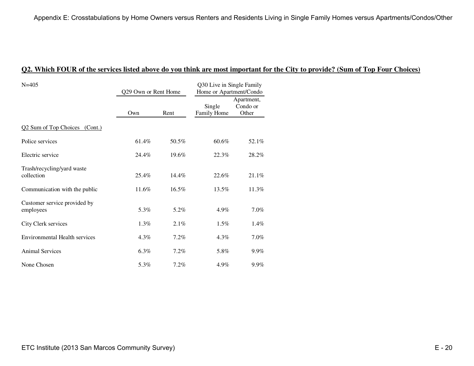| $N = 405$                                 | Q29 Own or Rent Home |          | Q30 Live in Single Family<br>Home or Apartment/Condo |                                 |
|-------------------------------------------|----------------------|----------|------------------------------------------------------|---------------------------------|
|                                           | Own                  | Rent     | Single<br>Family Home                                | Apartment,<br>Condo or<br>Other |
| Q2 Sum of Top Choices (Cont.)             |                      |          |                                                      |                                 |
| Police services                           | 61.4%                | 50.5%    | 60.6%                                                | 52.1%                           |
| Electric service                          | 24.4%                | 19.6%    | 22.3%                                                | 28.2%                           |
| Trash/recycling/yard waste<br>collection  | $25.4\%$             | $14.4\%$ | 22.6%                                                | 21.1%                           |
| Communication with the public             | 11.6%                | $16.5\%$ | 13.5%                                                | 11.3%                           |
| Customer service provided by<br>employees | 5.3%                 | 5.2%     | 4.9%                                                 | 7.0%                            |
| City Clerk services                       | 1.3%                 | 2.1%     | 1.5%                                                 | 1.4%                            |
| Environmental Health services             | $4.3\%$              | $7.2\%$  | $4.3\%$                                              | 7.0%                            |
| <b>Animal Services</b>                    | 6.3%                 | 7.2%     | 5.8%                                                 | 9.9%                            |
| None Chosen                               | 5.3%                 | 7.2%     | 4.9%                                                 | 9.9%                            |

#### **Q2. Which FOUR of the services listed above do you think are most important for the City to provide? (Sum of Top Four Choices)**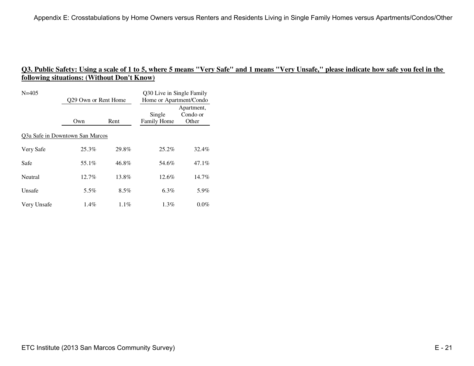| $N = 405$                       | 029 Own or Rent Home |         | Q30 Live in Single Family<br>Home or Apartment/Condo |                                 |  |  |
|---------------------------------|----------------------|---------|------------------------------------------------------|---------------------------------|--|--|
|                                 | Own                  | Rent    | Single<br>Family Home                                | Apartment,<br>Condo or<br>Other |  |  |
| Q3a Safe in Downtown San Marcos |                      |         |                                                      |                                 |  |  |
| Very Safe                       | 25.3%                | 29.8%   | $25.2\%$                                             | 32.4%                           |  |  |
| Safe                            | 55.1%                | 46.8%   | 54.6%                                                | 47.1%                           |  |  |
| Neutral                         | $12.7\%$             | 13.8%   | $12.6\%$                                             | $14.7\%$                        |  |  |
| Unsafe                          | 5.5%                 | $8.5\%$ | 6.3%                                                 | 5.9%                            |  |  |
| Very Unsafe                     | $1.4\%$              | $1.1\%$ | $1.3\%$                                              | $0.0\%$                         |  |  |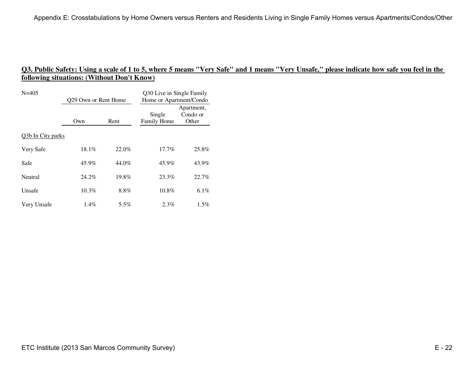| $N = 405$         | Q29 Own or Rent Home |          | Q30 Live in Single Family<br>Home or Apartment/Condo |                                 |
|-------------------|----------------------|----------|------------------------------------------------------|---------------------------------|
|                   | Own                  | Rent     | Single<br>Family Home                                | Apartment,<br>Condo or<br>Other |
| Q3b In City parks |                      |          |                                                      |                                 |
| Very Safe         | 18.1%                | 22.0%    | $17.7\%$                                             | 25.8%                           |
| Safe              | 45.9%                | 44.0%    | 45.9%                                                | 43.9%                           |
| Neutral           | 24.2%                | $19.8\%$ | 23.3%                                                | 22.7%                           |
| Unsafe            | $10.3\%$             | 8.8%     | 10.8%                                                | 6.1%                            |
| Very Unsafe       | $1.4\%$              | 5.5%     | $2.3\%$                                              | $1.5\%$                         |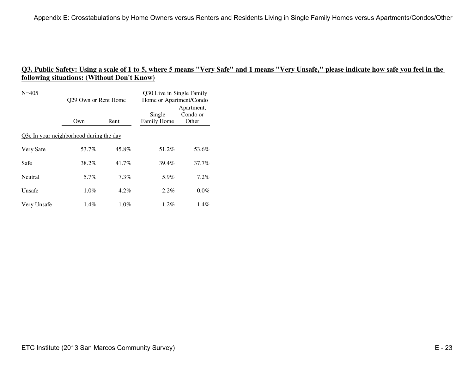| $N = 405$                               | 029 Own or Rent Home |         | Q30 Live in Single Family<br>Home or Apartment/Condo |                                 |  |
|-----------------------------------------|----------------------|---------|------------------------------------------------------|---------------------------------|--|
|                                         | Own                  | Rent    | Single<br>Family Home                                | Apartment,<br>Condo or<br>Other |  |
| Q3c In your neighborhood during the day |                      |         |                                                      |                                 |  |
| Very Safe                               | 53.7%                | 45.8%   | 51.2%                                                | 53.6%                           |  |
| Safe                                    | 38.2%                | 41.7%   | 39.4%                                                | 37.7%                           |  |
| Neutral                                 | 5.7%                 | $7.3\%$ | 5.9%                                                 | 7.2%                            |  |
| Unsafe                                  | 1.0%                 | 4.2%    | $2.2\%$                                              | $0.0\%$                         |  |
| Very Unsafe                             | $1.4\%$              | $1.0\%$ | $1.2\%$                                              | $1.4\%$                         |  |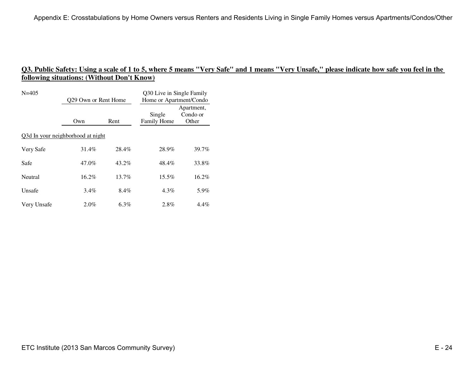| $N = 405$                         | Q29 Own or Rent Home |          | Q30 Live in Single Family<br>Home or Apartment/Condo |                                 |  |
|-----------------------------------|----------------------|----------|------------------------------------------------------|---------------------------------|--|
|                                   | Own                  | Rent     | Single<br>Family Home                                | Apartment,<br>Condo or<br>Other |  |
| Q3d In your neighborhood at night |                      |          |                                                      |                                 |  |
| Very Safe                         | 31.4%                | 28.4%    | 28.9%                                                | 39.7%                           |  |
| Safe                              | 47.0%                | 43.2%    | 48.4%                                                | 33.8%                           |  |
| Neutral                           | $16.2\%$             | $13.7\%$ | $15.5\%$                                             | $16.2\%$                        |  |
| Unsafe                            | $3.4\%$              | 8.4%     | $4.3\%$                                              | 5.9%                            |  |
| Very Unsafe                       | $2.0\%$              | $6.3\%$  | 2.8%                                                 | 4.4%                            |  |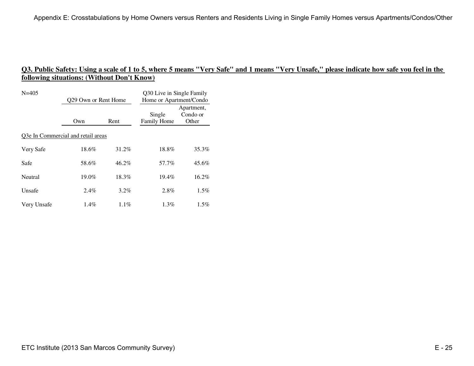| $N = 405$                          | 029 Own or Rent Home |         | Q30 Live in Single Family<br>Home or Apartment/Condo |                                 |  |
|------------------------------------|----------------------|---------|------------------------------------------------------|---------------------------------|--|
|                                    | Own                  | Rent    | Single<br>Family Home                                | Apartment,<br>Condo or<br>Other |  |
| Q3e In Commercial and retail areas |                      |         |                                                      |                                 |  |
| Very Safe                          | 18.6%                | 31.2%   | 18.8%                                                | 35.3%                           |  |
| Safe                               | 58.6%                | 46.2%   | 57.7%                                                | 45.6%                           |  |
| Neutral                            | $19.0\%$             | 18.3%   | $19.4\%$                                             | $16.2\%$                        |  |
| Unsafe                             | 2.4%                 | 3.2%    | 2.8%                                                 | $1.5\%$                         |  |
| Very Unsafe                        | 1.4%                 | $1.1\%$ | $1.3\%$                                              | $1.5\%$                         |  |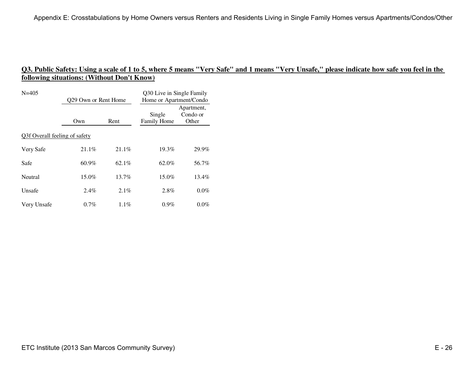| $N = 405$                     | Q29 Own or Rent Home |          | Q30 Live in Single Family<br>Home or Apartment/Condo |                                 |
|-------------------------------|----------------------|----------|------------------------------------------------------|---------------------------------|
|                               | Own                  | Rent     | Single<br>Family Home                                | Apartment,<br>Condo or<br>Other |
| Q3f Overall feeling of safety |                      |          |                                                      |                                 |
| Very Safe                     | 21.1%                | 21.1%    | 19.3%                                                | 29.9%                           |
| Safe                          | $60.9\%$             | 62.1%    | 62.0%                                                | 56.7%                           |
| Neutral                       | $15.0\%$             | $13.7\%$ | $15.0\%$                                             | 13.4%                           |
| Unsafe                        | 2.4%                 | 2.1%     | 2.8%                                                 | $0.0\%$                         |
| Very Unsafe                   | $0.7\%$              | $1.1\%$  | $0.9\%$                                              | $0.0\%$                         |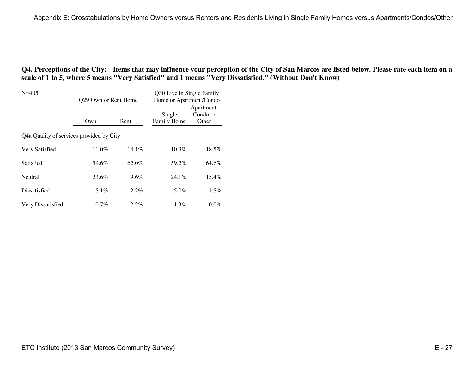| $N = 405$                                | 029 Own or Rent Home |          | Q30 Live in Single Family<br>Home or Apartment/Condo |                                 |
|------------------------------------------|----------------------|----------|------------------------------------------------------|---------------------------------|
|                                          | Own                  | Rent     | Single<br>Family Home                                | Apartment,<br>Condo or<br>Other |
| Q4a Quality of services provided by City |                      |          |                                                      |                                 |
| Very Satisfied                           | $11.0\%$             | $14.1\%$ | $10.3\%$                                             | 18.5%                           |
| Satisfied                                | 59.6%                | 62.0%    | 59.2%                                                | 64.6%                           |
| Neutral                                  | 23.6%                | $19.6\%$ | $24.1\%$                                             | $15.4\%$                        |
| Dissatisfied                             | 5.1%                 | 2.2%     | 5.0%                                                 | $1.5\%$                         |
| Very Dissatisfied                        | $0.7\%$              | $2.2\%$  | $1.3\%$                                              | $0.0\%$                         |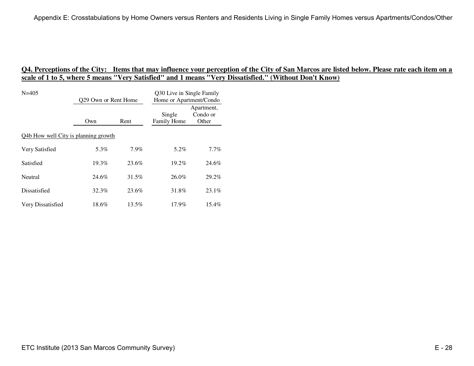| $N = 405$                            | 029 Own or Rent Home |         | Q30 Live in Single Family<br>Home or Apartment/Condo |                                 |
|--------------------------------------|----------------------|---------|------------------------------------------------------|---------------------------------|
|                                      | Own                  | Rent    | Single<br>Family Home                                | Apartment,<br>Condo or<br>Other |
| Q4b How well City is planning growth |                      |         |                                                      |                                 |
| Very Satisfied                       | 5.3%                 | $7.9\%$ | 5.2%                                                 | 7.7%                            |
| Satisfied                            | 19.3%                | 23.6%   | 19.2%                                                | 24.6%                           |
| Neutral                              | 24.6%                | 31.5%   | $26.0\%$                                             | 29.2%                           |
| Dissatisfied                         | 32.3%                | 23.6%   | 31.8%                                                | 23.1%                           |
| Very Dissatisfied                    | 18.6%                | 13.5%   | $17.9\%$                                             | 15.4%                           |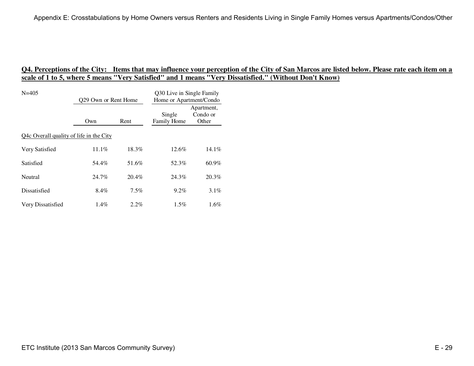| $N = 405$                               | 029 Own or Rent Home |         | Q30 Live in Single Family<br>Home or Apartment/Condo |                                 |
|-----------------------------------------|----------------------|---------|------------------------------------------------------|---------------------------------|
|                                         | Own                  | Rent    | Single<br>Family Home                                | Apartment,<br>Condo or<br>Other |
| Q4c Overall quality of life in the City |                      |         |                                                      |                                 |
| Very Satisfied                          | 11.1%                | 18.3%   | 12.6%                                                | 14.1%                           |
| Satisfied                               | 54.4%                | 51.6%   | 52.3%                                                | 60.9%                           |
| Neutral                                 | 24.7%                | 20.4%   | 24.3%                                                | 20.3%                           |
| Dissatisfied                            | 8.4%                 | $7.5\%$ | $9.2\%$                                              | $3.1\%$                         |
| Very Dissatisfied                       | 1.4%                 | $2.2\%$ | $1.5\%$                                              | $1.6\%$                         |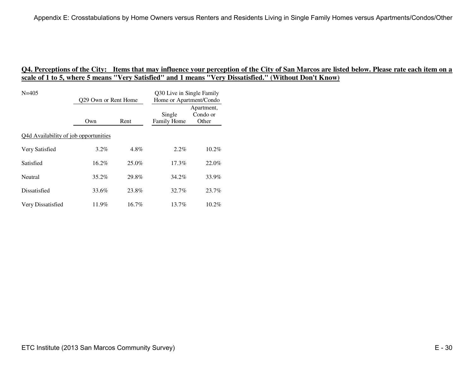| $N = 405$                             | 029 Own or Rent Home |          | Q30 Live in Single Family<br>Home or Apartment/Condo |                                 |
|---------------------------------------|----------------------|----------|------------------------------------------------------|---------------------------------|
|                                       | Own                  | Rent     | Single<br>Family Home                                | Apartment,<br>Condo or<br>Other |
| Q4d Availability of job opportunities |                      |          |                                                      |                                 |
| Very Satisfied                        | $3.2\%$              | 4.8%     | $2.2\%$                                              | $10.2\%$                        |
| Satisfied                             | $16.2\%$             | $25.0\%$ | $17.3\%$                                             | 22.0%                           |
| Neutral                               | $35.2\%$             | 29.8%    | 34.2%                                                | 33.9%                           |
| Dissatisfied                          | 33.6%                | 23.8%    | 32.7%                                                | 23.7%                           |
| Very Dissatisfied                     | 11.9%                | 16.7%    | $13.7\%$                                             | $10.2\%$                        |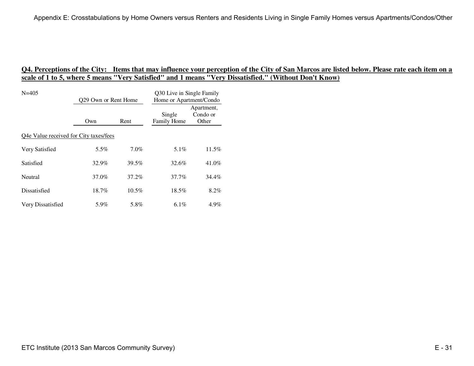| $N = 405$                              | 029 Own or Rent Home |          | Q30 Live in Single Family<br>Home or Apartment/Condo |                                 |
|----------------------------------------|----------------------|----------|------------------------------------------------------|---------------------------------|
|                                        | Own                  | Rent     | Single<br>Family Home                                | Apartment,<br>Condo or<br>Other |
| Q4e Value received for City taxes/fees |                      |          |                                                      |                                 |
| Very Satisfied                         | 5.5%                 | $7.0\%$  | $5.1\%$                                              | 11.5%                           |
| Satisfied                              | 32.9%                | 39.5%    | 32.6%                                                | 41.0%                           |
| Neutral                                | 37.0%                | 37.2%    | 37.7%                                                | 34.4%                           |
| Dissatisfied                           | 18.7%                | $10.5\%$ | 18.5%                                                | 8.2%                            |
| Very Dissatisfied                      | 5.9%                 | 5.8%     | 6.1%                                                 | 4.9%                            |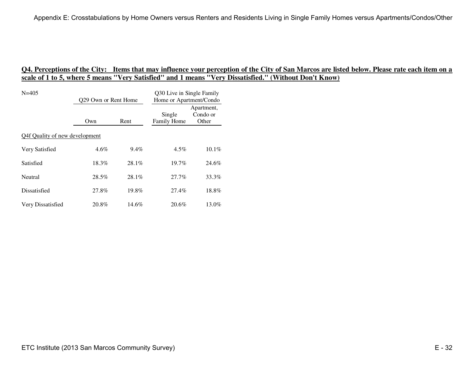| $N = 405$                      | 029 Own or Rent Home |          | Q30 Live in Single Family<br>Home or Apartment/Condo |                                 |
|--------------------------------|----------------------|----------|------------------------------------------------------|---------------------------------|
|                                | Own                  | Rent     | Single<br>Family Home                                | Apartment,<br>Condo or<br>Other |
| Q4f Quality of new development |                      |          |                                                      |                                 |
| Very Satisfied                 | 4.6%                 | $9.4\%$  | $4.5\%$                                              | 10.1%                           |
| Satisfied                      | 18.3%                | $28.1\%$ | 19.7%                                                | 24.6%                           |
| Neutral                        | 28.5%                | $28.1\%$ | 27.7%                                                | 33.3%                           |
| Dissatisfied                   | 27.8%                | 19.8%    | 27.4%                                                | 18.8%                           |
| Very Dissatisfied              | 20.8%                | 14.6%    | 20.6%                                                | 13.0%                           |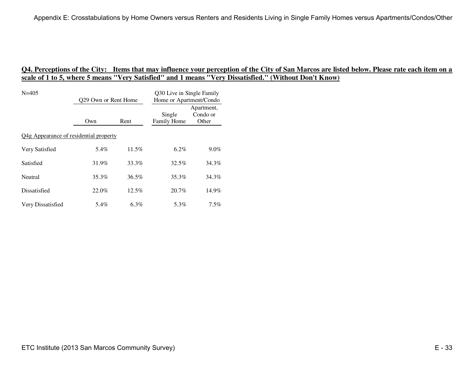| $N = 405$                              | 029 Own or Rent Home |          | Q30 Live in Single Family<br>Home or Apartment/Condo |                                 |
|----------------------------------------|----------------------|----------|------------------------------------------------------|---------------------------------|
|                                        | Own                  | Rent     | Single<br>Family Home                                | Apartment,<br>Condo or<br>Other |
| Q4g Appearance of residential property |                      |          |                                                      |                                 |
| Very Satisfied                         | 5.4%                 | 11.5%    | $6.2\%$                                              | $9.0\%$                         |
| Satisfied                              | 31.9%                | 33.3%    | 32.5%                                                | 34.3%                           |
| Neutral                                | 35.3%                | $36.5\%$ | 35.3%                                                | 34.3%                           |
| Dissatisfied                           | 22.0%                | $12.5\%$ | 20.7%                                                | 14.9%                           |
| Very Dissatisfied                      | 5.4%                 | 6.3%     | 5.3%                                                 | $7.5\%$                         |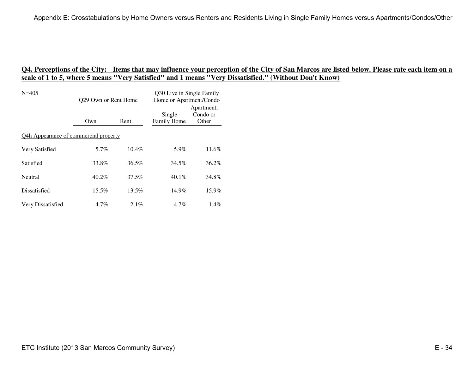| $N = 405$                             | 029 Own or Rent Home |          | Q30 Live in Single Family<br>Home or Apartment/Condo |                                 |
|---------------------------------------|----------------------|----------|------------------------------------------------------|---------------------------------|
|                                       | Own                  | Rent     | Single<br>Family Home                                | Apartment,<br>Condo or<br>Other |
| Q4h Appearance of commercial property |                      |          |                                                      |                                 |
| Very Satisfied                        | 5.7%                 | $10.4\%$ | 5.9%                                                 | 11.6%                           |
| Satisfied                             | 33.8%                | $36.5\%$ | 34.5%                                                | 36.2%                           |
| Neutral                               | $40.2\%$             | 37.5%    | $40.1\%$                                             | 34.8%                           |
| Dissatisfied                          | $15.5\%$             | 13.5%    | 14.9%                                                | 15.9%                           |
| Very Dissatisfied                     | 4.7%                 | 2.1%     | 4.7%                                                 | $1.4\%$                         |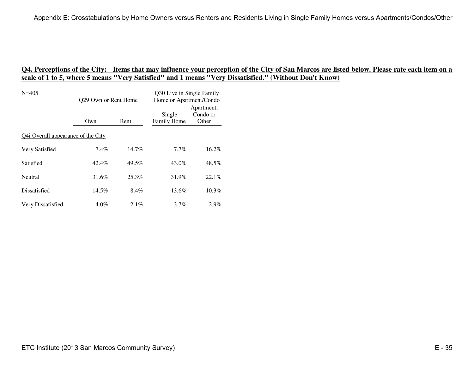| $N = 405$                          | 029 Own or Rent Home |          | Q30 Live in Single Family<br>Home or Apartment/Condo |                                 |
|------------------------------------|----------------------|----------|------------------------------------------------------|---------------------------------|
|                                    | Own                  | Rent     | Single<br>Family Home                                | Apartment,<br>Condo or<br>Other |
| Q4i Overall appearance of the City |                      |          |                                                      |                                 |
| Very Satisfied                     | 7.4%                 | $14.7\%$ | $7.7\%$                                              | 16.2%                           |
| Satisfied                          | 42.4%                | 49.5%    | 43.0%                                                | 48.5%                           |
| Neutral                            | 31.6%                | 25.3%    | 31.9%                                                | 22.1%                           |
| Dissatisfied                       | 14.5%                | 8.4%     | 13.6%                                                | $10.3\%$                        |
| Very Dissatisfied                  | $4.0\%$              | 2.1%     | $3.7\%$                                              | 2.9%                            |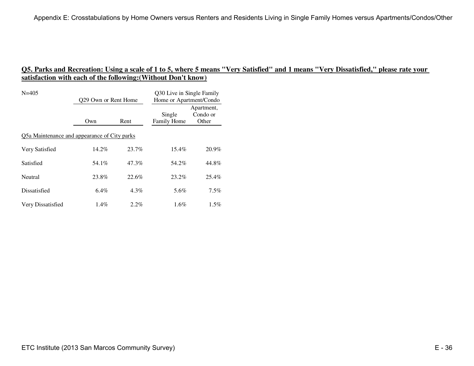| $N = 405$                                    | Q29 Own or Rent Home |         | Q30 Live in Single Family<br>Home or Apartment/Condo |                                 |
|----------------------------------------------|----------------------|---------|------------------------------------------------------|---------------------------------|
|                                              | Own                  | Rent    | Single<br>Family Home                                | Apartment,<br>Condo or<br>Other |
| Q5a Maintenance and appearance of City parks |                      |         |                                                      |                                 |
| Very Satisfied                               | 14.2%                | 23.7%   | $15.4\%$                                             | 20.9%                           |
| Satisfied                                    | 54.1%                | 47.3%   | 54.2%                                                | 44.8%                           |
| Neutral                                      | 23.8%                | 22.6%   | 23.2%                                                | 25.4%                           |
| Dissatisfied                                 | $6.4\%$              | $4.3\%$ | 5.6%                                                 | $7.5\%$                         |
| Very Dissatisfied                            | $1.4\%$              | $2.2\%$ | 1.6%                                                 | $1.5\%$                         |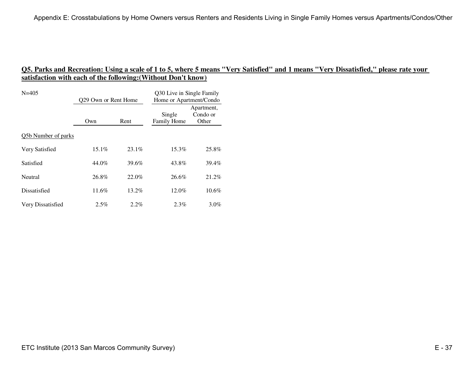| $N = 405$           | 029 Own or Rent Home |          | Q30 Live in Single Family<br>Home or Apartment/Condo |                                 |
|---------------------|----------------------|----------|------------------------------------------------------|---------------------------------|
|                     | Own                  | Rent     | Single<br>Family Home                                | Apartment,<br>Condo or<br>Other |
| Q5b Number of parks |                      |          |                                                      |                                 |
| Very Satisfied      | $15.1\%$             | $23.1\%$ | 15.3%                                                | 25.8%                           |
| Satisfied           | 44.0%                | 39.6%    | 43.8%                                                | 39.4%                           |
| Neutral             | 26.8%                | 22.0%    | 26.6%                                                | 21.2%                           |
| Dissatisfied        | 11.6%                | 13.2%    | 12.0%                                                | $10.6\%$                        |
| Very Dissatisfied   | 2.5%                 | $2.2\%$  | 2.3%                                                 | $3.0\%$                         |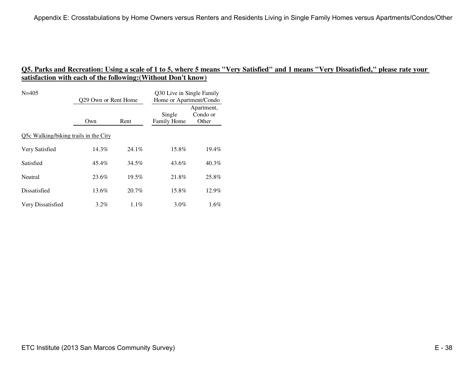| $N = 405$                             | Q29 Own or Rent Home |          | Q30 Live in Single Family<br>Home or Apartment/Condo |                                 |
|---------------------------------------|----------------------|----------|------------------------------------------------------|---------------------------------|
|                                       | Own                  | Rent     | Single<br>Family Home                                | Apartment,<br>Condo or<br>Other |
| Q5c Walking/biking trails in the City |                      |          |                                                      |                                 |
| Very Satisfied                        | $14.3\%$             | $24.1\%$ | 15.8%                                                | 19.4%                           |
| Satisfied                             | 45.4%                | 34.5%    | 43.6%                                                | 40.3%                           |
| Neutral                               | 23.6%                | 19.5%    | 21.8%                                                | 25.8%                           |
| Dissatisfied                          | $13.6\%$             | $20.7\%$ | 15.8%                                                | 12.9%                           |
| Very Dissatisfied                     | $3.2\%$              | $1.1\%$  | $3.0\%$                                              | $1.6\%$                         |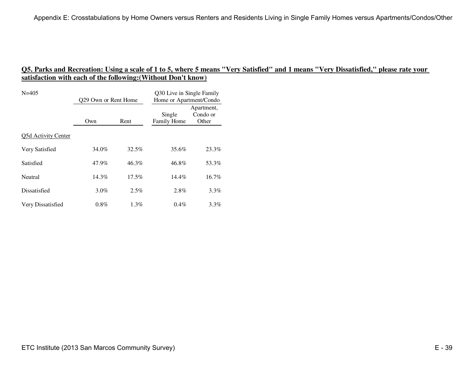| $N = 405$           | 029 Own or Rent Home |          | Q30 Live in Single Family<br>Home or Apartment/Condo |                                 |
|---------------------|----------------------|----------|------------------------------------------------------|---------------------------------|
|                     | Rent<br>Own          |          | Single<br>Family Home                                | Apartment,<br>Condo or<br>Other |
| Q5d Activity Center |                      |          |                                                      |                                 |
| Very Satisfied      | 34.0%                | 32.5%    | 35.6%                                                | 23.3%                           |
| Satisfied           | 47.9%                | 46.3%    | 46.8%                                                | 53.3%                           |
| Neutral             | $14.3\%$             | $17.5\%$ | $14.4\%$                                             | $16.7\%$                        |
| Dissatisfied        | $3.0\%$              | $2.5\%$  | 2.8%                                                 | $3.3\%$                         |
| Very Dissatisfied   | $0.8\%$              | $1.3\%$  | 0.4%                                                 | $3.3\%$                         |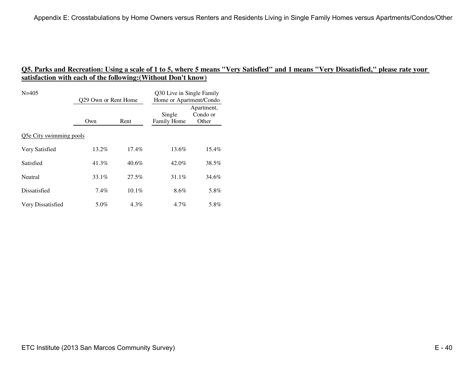| $N = 405$               | 029 Own or Rent Home |          | Q30 Live in Single Family<br>Home or Apartment/Condo |                                 |
|-------------------------|----------------------|----------|------------------------------------------------------|---------------------------------|
|                         | Own                  | Rent     | Single<br>Family Home                                | Apartment,<br>Condo or<br>Other |
| Q5e City swimming pools |                      |          |                                                      |                                 |
| Very Satisfied          | 13.2%                | $17.4\%$ | 13.6%                                                | 15.4%                           |
| Satisfied               | 41.3%                | $40.6\%$ | 42.0%                                                | 38.5%                           |
| Neutral                 | 33.1%                | $27.5\%$ | 31.1%                                                | 34.6%                           |
| Dissatisfied            | 7.4%                 | $10.1\%$ | 8.6%                                                 | 5.8%                            |
| Very Dissatisfied       | 5.0%                 | $4.3\%$  | 4.7%                                                 | 5.8%                            |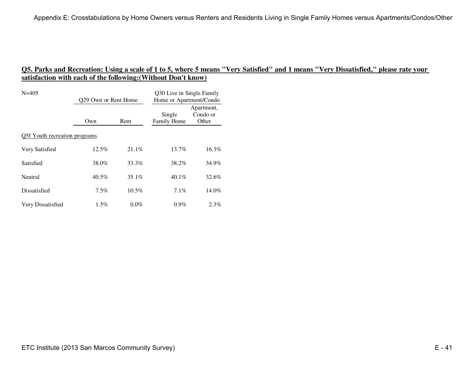| $N = 405$                     | 029 Own or Rent Home |          | Q30 Live in Single Family<br>Home or Apartment/Condo |                                 |
|-------------------------------|----------------------|----------|------------------------------------------------------|---------------------------------|
|                               | Rent<br>Own          |          | Single<br>Family Home                                | Apartment,<br>Condo or<br>Other |
| Q5f Youth recreation programs |                      |          |                                                      |                                 |
| Very Satisfied                | 12.5%                | $21.1\%$ | $13.7\%$                                             | 16.3%                           |
| Satisfied                     | 38.0%                | 33.3%    | 38.2%                                                | 34.9%                           |
| Neutral                       | $40.5\%$             | $35.1\%$ | $40.1\%$                                             | 32.6%                           |
| Dissatisfied                  | $7.5\%$              | $10.5\%$ | 7.1%                                                 | 14.0%                           |
| Very Dissatisfied             | $1.5\%$              | $0.0\%$  | $0.9\%$                                              | 2.3%                            |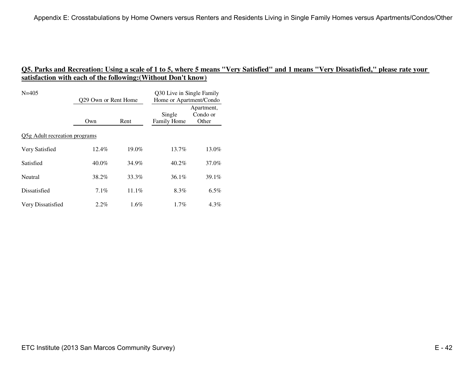| $N = 405$                     | Q29 Own or Rent Home |          | Q30 Live in Single Family<br>Home or Apartment/Condo |                                 |
|-------------------------------|----------------------|----------|------------------------------------------------------|---------------------------------|
|                               | Own                  | Rent     | Single<br>Family Home                                | Apartment,<br>Condo or<br>Other |
| Q5g Adult recreation programs |                      |          |                                                      |                                 |
| Very Satisfied                | $12.4\%$             | $19.0\%$ | $13.7\%$                                             | 13.0%                           |
| Satisfied                     | $40.0\%$             | 34.9%    | 40.2%                                                | 37.0%                           |
| Neutral                       | 38.2%                | 33.3%    | 36.1%                                                | 39.1%                           |
| Dissatisfied                  | $7.1\%$              | $11.1\%$ | 8.3%                                                 | $6.5\%$                         |
| Very Dissatisfied             | $2.2\%$              | $1.6\%$  | $1.7\%$                                              | $4.3\%$                         |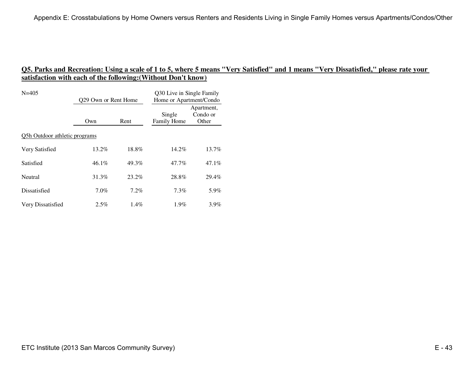| $N = 405$                     | 029 Own or Rent Home |         | Q30 Live in Single Family<br>Home or Apartment/Condo |                                 |
|-------------------------------|----------------------|---------|------------------------------------------------------|---------------------------------|
|                               | Rent<br>Own          |         | Single<br>Family Home                                | Apartment,<br>Condo or<br>Other |
| Q5h Outdoor athletic programs |                      |         |                                                      |                                 |
| Very Satisfied                | 13.2%                | 18.8%   | 14.2%                                                | 13.7%                           |
| Satisfied                     | 46.1%                | 49.3%   | 47.7%                                                | 47.1%                           |
| Neutral                       | 31.3%                | 23.2%   | 28.8%                                                | 29.4%                           |
| Dissatisfied                  | 7.0%                 | 7.2%    | 7.3%                                                 | 5.9%                            |
| Very Dissatisfied             | 2.5%                 | $1.4\%$ | $1.9\%$                                              | $3.9\%$                         |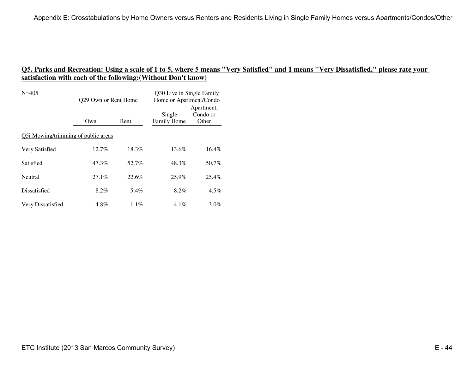| $N = 405$                           | Q29 Own or Rent Home |         | Q30 Live in Single Family<br>Home or Apartment/Condo |                                 |
|-------------------------------------|----------------------|---------|------------------------------------------------------|---------------------------------|
|                                     | Own                  | Rent    | Single<br>Family Home                                | Apartment,<br>Condo or<br>Other |
| Q5i Mowing/trimming of public areas |                      |         |                                                      |                                 |
| Very Satisfied                      | $12.7\%$             | 18.3%   | 13.6%                                                | $16.4\%$                        |
| Satisfied                           | 47.3%                | 52.7%   | 48.3%                                                | 50.7%                           |
| Neutral                             | $27.1\%$             | 22.6%   | 25.9%                                                | 25.4%                           |
| Dissatisfied                        | 8.2%                 | 5.4%    | 8.2%                                                 | $4.5\%$                         |
| Very Dissatisfied                   | $4.8\%$              | $1.1\%$ | $4.1\%$                                              | $3.0\%$                         |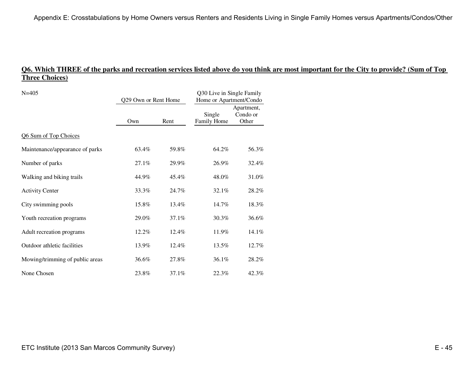# **Q6. Which THREE of the parks and recreation services listed above do you think are most important for the City to provide? (Sum of Top Three Choices)**

| $N = 405$<br>Q29 Own or Rent Home |       | Q30 Live in Single Family<br>Home or Apartment/Condo |                       |                                 |
|-----------------------------------|-------|------------------------------------------------------|-----------------------|---------------------------------|
|                                   | Own   | Rent                                                 | Single<br>Family Home | Apartment,<br>Condo or<br>Other |
| Q6 Sum of Top Choices             |       |                                                      |                       |                                 |
| Maintenance/appearance of parks   | 63.4% | 59.8%                                                | 64.2%                 | 56.3%                           |
| Number of parks                   | 27.1% | 29.9%                                                | 26.9%                 | 32.4%                           |
| Walking and biking trails         | 44.9% | 45.4%                                                | 48.0%                 | 31.0%                           |
| <b>Activity Center</b>            | 33.3% | 24.7%                                                | 32.1%                 | 28.2%                           |
| City swimming pools               | 15.8% | 13.4%                                                | 14.7%                 | 18.3%                           |
| Youth recreation programs         | 29.0% | 37.1%                                                | 30.3%                 | 36.6%                           |
| Adult recreation programs         | 12.2% | 12.4%                                                | 11.9%                 | 14.1%                           |
| Outdoor athletic facilities       | 13.9% | 12.4%                                                | 13.5%                 | 12.7%                           |
| Mowing/trimming of public areas   | 36.6% | 27.8%                                                | 36.1%                 | 28.2%                           |
| None Chosen                       | 23.8% | 37.1%                                                | 22.3%                 | 42.3%                           |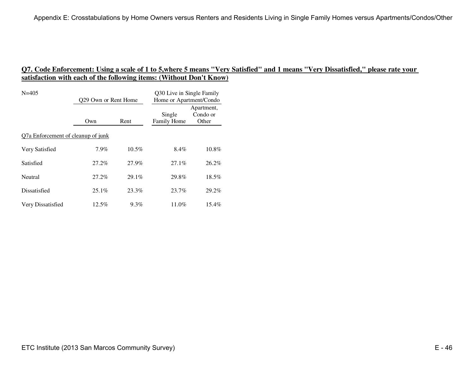| $N = 405$                          | 029 Own or Rent Home |          | Q30 Live in Single Family<br>Home or Apartment/Condo |                                 |
|------------------------------------|----------------------|----------|------------------------------------------------------|---------------------------------|
|                                    | Own                  | Rent     | Single<br>Family Home                                | Apartment,<br>Condo or<br>Other |
| Q7a Enforcement of cleanup of junk |                      |          |                                                      |                                 |
| Very Satisfied                     | 7.9%                 | $10.5\%$ | 8.4%                                                 | 10.8%                           |
| Satisfied                          | 27.2%                | 27.9%    | $27.1\%$                                             | 26.2%                           |
| Neutral                            | 27.2%                | $29.1\%$ | 29.8%                                                | 18.5%                           |
| Dissatisfied                       | $25.1\%$             | 23.3%    | 23.7%                                                | 29.2%                           |
| Very Dissatisfied                  | 12.5%                | $9.3\%$  | 11.0%                                                | $15.4\%$                        |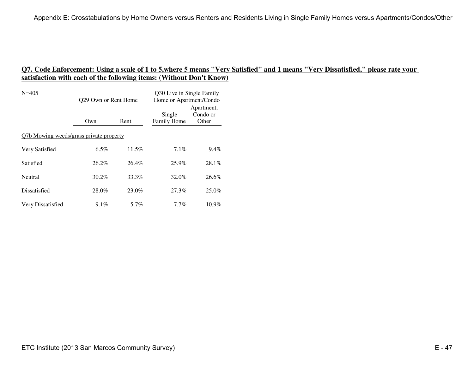| $N = 405$                               | 029 Own or Rent Home |          | Q30 Live in Single Family<br>Home or Apartment/Condo |                                 |
|-----------------------------------------|----------------------|----------|------------------------------------------------------|---------------------------------|
|                                         | Own                  | Rent     | Single<br>Family Home                                | Apartment,<br>Condo or<br>Other |
| Q7b Mowing weeds/grass private property |                      |          |                                                      |                                 |
| Very Satisfied                          | $6.5\%$              | $11.5\%$ | $7.1\%$                                              | $9.4\%$                         |
| Satisfied                               | 26.2%                | 26.4%    | 25.9%                                                | 28.1%                           |
| Neutral                                 | $30.2\%$             | 33.3%    | 32.0%                                                | 26.6%                           |
| Dissatisfied                            | 28.0%                | 23.0%    | 27.3%                                                | 25.0%                           |
| Very Dissatisfied                       | $9.1\%$              | 5.7%     | 7.7%                                                 | $10.9\%$                        |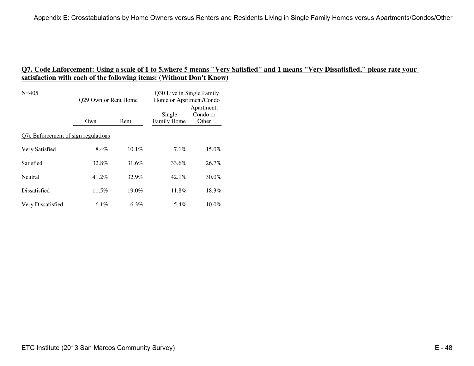| $N = 405$                           | 029 Own or Rent Home |          | Q30 Live in Single Family<br>Home or Apartment/Condo |                                 |  |
|-------------------------------------|----------------------|----------|------------------------------------------------------|---------------------------------|--|
|                                     | Own                  | Rent     | Single<br>Family Home                                | Apartment,<br>Condo or<br>Other |  |
| Q7c Enforcement of sign regulations |                      |          |                                                      |                                 |  |
| Very Satisfied                      | 8.4%                 | $10.1\%$ | $7.1\%$                                              | 15.0%                           |  |
| Satisfied                           | 32.8%                | 31.6%    | 33.6%                                                | 26.7%                           |  |
| Neutral                             | 41.2%                | 32.9%    | $42.1\%$                                             | $30.0\%$                        |  |
| Dissatisfied                        | 11.5%                | $19.0\%$ | 11.8%                                                | 18.3%                           |  |
| Very Dissatisfied                   | 6.1%                 | 6.3%     | 5.4%                                                 | $10.0\%$                        |  |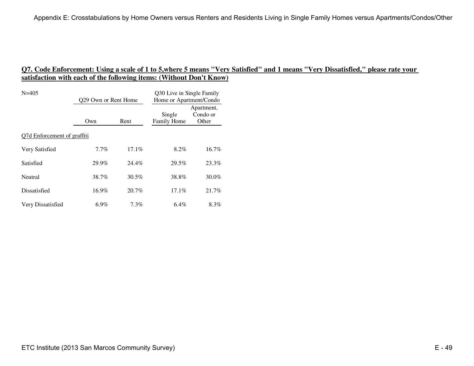| $N = 405$                   | 029 Own or Rent Home |          | Q30 Live in Single Family<br>Home or Apartment/Condo |                                 |  |
|-----------------------------|----------------------|----------|------------------------------------------------------|---------------------------------|--|
|                             | Own                  | Rent     | Single<br>Family Home                                | Apartment,<br>Condo or<br>Other |  |
| Q7d Enforcement of graffiti |                      |          |                                                      |                                 |  |
| Very Satisfied              | $7.7\%$              | 17.1%    | 8.2%                                                 | 16.7%                           |  |
| Satisfied                   | 29.9%                | 24.4%    | 29.5%                                                | 23.3%                           |  |
| Neutral                     | 38.7%                | $30.5\%$ | 38.8%                                                | 30.0%                           |  |
| Dissatisfied                | 16.9%                | $20.7\%$ | $17.1\%$                                             | 21.7%                           |  |
| Very Dissatisfied           | $6.9\%$              | $7.3\%$  | $6.4\%$                                              | 8.3%                            |  |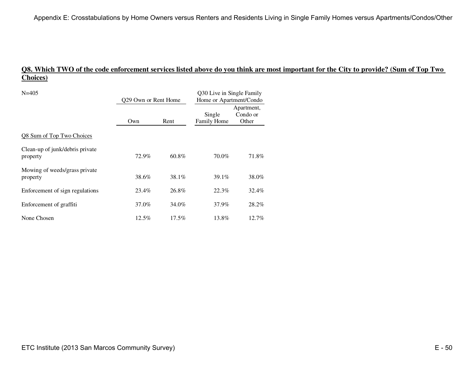# **Q8. Which TWO of the code enforcement services listed above do you think are most important for the City to provide? (Sum of Top Two Choices)**

| $N = 405$                                   | Q29 Own or Rent Home |          | Q30 Live in Single Family<br>Home or Apartment/Condo |                                 |
|---------------------------------------------|----------------------|----------|------------------------------------------------------|---------------------------------|
|                                             | Own                  | Rent     | Single<br>Family Home                                | Apartment,<br>Condo or<br>Other |
| Q8 Sum of Top Two Choices                   |                      |          |                                                      |                                 |
| Clean-up of junk/debris private<br>property | 72.9%                | 60.8%    | 70.0%                                                | 71.8%                           |
| Mowing of weeds/grass private<br>property   | 38.6%                | 38.1%    | 39.1%                                                | 38.0%                           |
| Enforcement of sign regulations             | 23.4%                | 26.8%    | 22.3%                                                | 32.4%                           |
| Enforcement of graffiti                     | 37.0%                | 34.0%    | 37.9%                                                | 28.2%                           |
| None Chosen                                 | 12.5%                | $17.5\%$ | 13.8%                                                | 12.7%                           |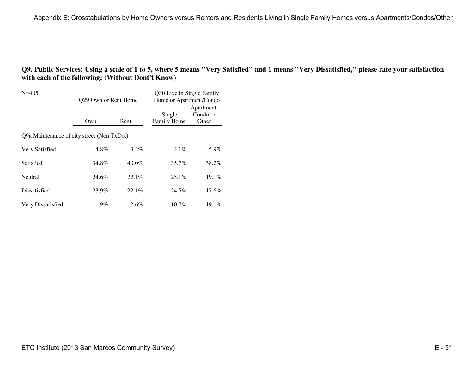| $N = 405$                                  | Q29 Own or Rent Home |          | Q30 Live in Single Family<br>Home or Apartment/Condo |                                 |
|--------------------------------------------|----------------------|----------|------------------------------------------------------|---------------------------------|
|                                            | Own                  | Rent     | Single<br>Family Home                                | Apartment,<br>Condo or<br>Other |
| Q9a Maintenance of city street (Non TxDot) |                      |          |                                                      |                                 |
| Very Satisfied                             | $4.8\%$              | $3.2\%$  | $4.1\%$                                              | 5.9%                            |
| Satisfied                                  | 34.8%                | $40.0\%$ | 35.7%                                                | 38.2%                           |
| Neutral                                    | 24.6%                | 22.1%    | $25.1\%$                                             | $19.1\%$                        |
| Dissatisfied                               | 23.9%                | 22.1%    | 24.5%                                                | $17.6\%$                        |
| Very Dissatisfied                          | 11.9%                | $12.6\%$ | $10.7\%$                                             | 19.1%                           |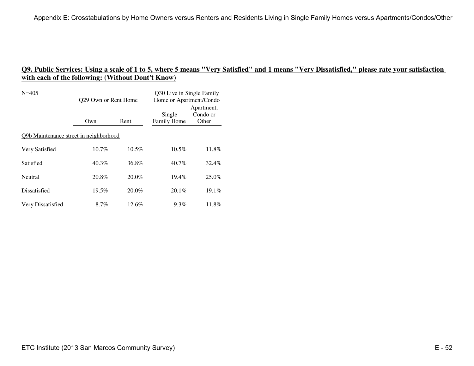| $N = 405$                              | Q29 Own or Rent Home |          | Q30 Live in Single Family<br>Home or Apartment/Condo |                                 |  |
|----------------------------------------|----------------------|----------|------------------------------------------------------|---------------------------------|--|
|                                        | Own                  | Rent     | Single<br>Family Home                                | Apartment,<br>Condo or<br>Other |  |
| Q9b Maintenance street in neighborhood |                      |          |                                                      |                                 |  |
| Very Satisfied                         | $10.7\%$             | $10.5\%$ | $10.5\%$                                             | 11.8%                           |  |
| Satisfied                              | 40.3%                | 36.8%    | 40.7%                                                | 32.4%                           |  |
| Neutral                                | 20.8%                | $20.0\%$ | $19.4\%$                                             | $25.0\%$                        |  |
| Dissatisfied                           | 19.5%                | $20.0\%$ | 20.1%                                                | 19.1%                           |  |
| Very Dissatisfied                      | $8.7\%$              | $12.6\%$ | $9.3\%$                                              | 11.8%                           |  |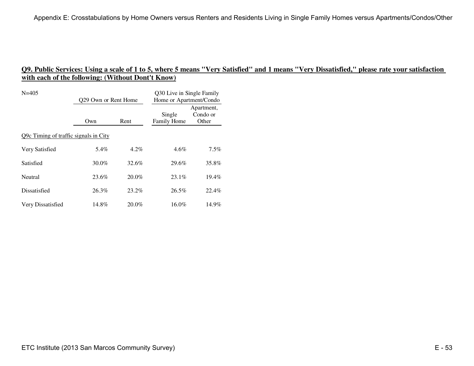| $N = 405$                             | 029 Own or Rent Home |          | Q30 Live in Single Family<br>Home or Apartment/Condo |                                 |  |
|---------------------------------------|----------------------|----------|------------------------------------------------------|---------------------------------|--|
|                                       | Own                  | Rent     | Single<br>Family Home                                | Apartment,<br>Condo or<br>Other |  |
| Q9c Timing of traffic signals in City |                      |          |                                                      |                                 |  |
| Very Satisfied                        | 5.4%                 | $4.2\%$  | $4.6\%$                                              | $7.5\%$                         |  |
| Satisfied                             | $30.0\%$             | 32.6%    | 29.6%                                                | 35.8%                           |  |
| Neutral                               | 23.6%                | $20.0\%$ | $23.1\%$                                             | $19.4\%$                        |  |
| Dissatisfied                          | 26.3%                | $23.2\%$ | 26.5%                                                | 22.4%                           |  |
| Very Dissatisfied                     | 14.8%                | 20.0%    | $16.0\%$                                             | 14.9%                           |  |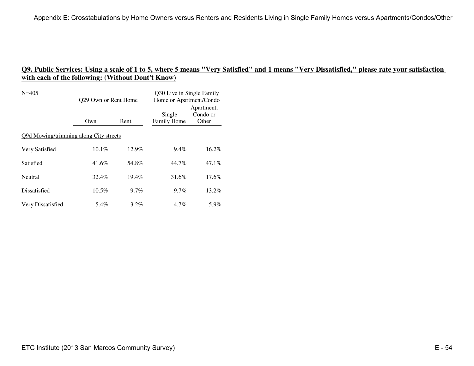| $N = 405$                              | Q29 Own or Rent Home |          | Q30 Live in Single Family<br>Home or Apartment/Condo |                                 |  |
|----------------------------------------|----------------------|----------|------------------------------------------------------|---------------------------------|--|
|                                        | Own                  | Rent     | Single<br>Family Home                                | Apartment,<br>Condo or<br>Other |  |
| Q9d Mowing/trimming along City streets |                      |          |                                                      |                                 |  |
| Very Satisfied                         | $10.1\%$             | 12.9%    | $9.4\%$                                              | 16.2%                           |  |
| Satisfied                              | 41.6%                | 54.8%    | 44.7%                                                | 47.1%                           |  |
| Neutral                                | 32.4%                | $19.4\%$ | 31.6%                                                | $17.6\%$                        |  |
| Dissatisfied                           | $10.5\%$             | $9.7\%$  | 9.7%                                                 | $13.2\%$                        |  |
| Very Dissatisfied                      | 5.4%                 | $3.2\%$  | $4.7\%$                                              | 5.9%                            |  |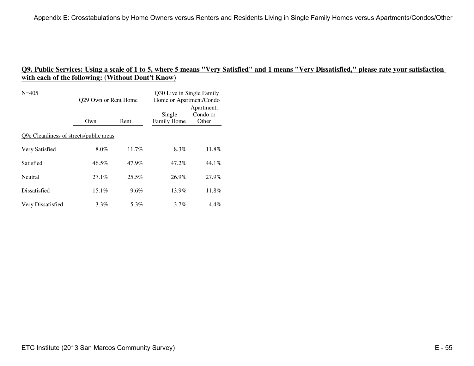| $N = 405$                               | Q29 Own or Rent Home |          | Q30 Live in Single Family<br>Home or Apartment/Condo |                                 |  |
|-----------------------------------------|----------------------|----------|------------------------------------------------------|---------------------------------|--|
|                                         | Own                  | Rent     | Single<br>Family Home                                | Apartment,<br>Condo or<br>Other |  |
| Q9e Cleanliness of streets/public areas |                      |          |                                                      |                                 |  |
| Very Satisfied                          | 8.0%                 | 11.7%    | 8.3%                                                 | 11.8%                           |  |
| Satisfied                               | 46.5%                | 47.9%    | 47.2%                                                | 44.1%                           |  |
| Neutral                                 | $27.1\%$             | $25.5\%$ | 26.9%                                                | 27.9%                           |  |
| Dissatisfied                            | $15.1\%$             | $9.6\%$  | 13.9%                                                | 11.8%                           |  |
| Very Dissatisfied                       | $3.3\%$              | 5.3%     | $3.7\%$                                              | $4.4\%$                         |  |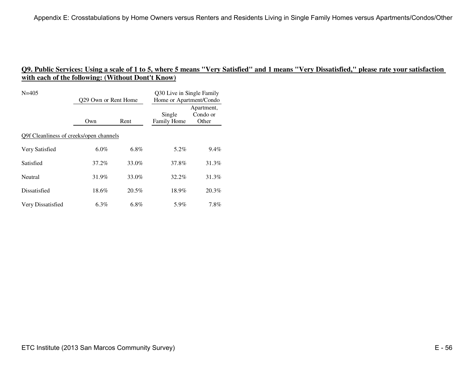| $N = 405$                               | Q29 Own or Rent Home |          | Q30 Live in Single Family<br>Home or Apartment/Condo |                                 |  |
|-----------------------------------------|----------------------|----------|------------------------------------------------------|---------------------------------|--|
|                                         | Own                  | Rent     | Single<br>Family Home                                | Apartment,<br>Condo or<br>Other |  |
| Q9f Cleanliness of creeks/open channels |                      |          |                                                      |                                 |  |
| Very Satisfied                          | $6.0\%$              | $6.8\%$  | 5.2%                                                 | $9.4\%$                         |  |
| Satisfied                               | 37.2%                | 33.0%    | 37.8%                                                | 31.3%                           |  |
| Neutral                                 | 31.9%                | 33.0%    | 32.2%                                                | 31.3%                           |  |
| Dissatisfied                            | 18.6%                | $20.5\%$ | 18.9%                                                | 20.3%                           |  |
| Very Dissatisfied                       | $6.3\%$              | $6.8\%$  | 5.9%                                                 | $7.8\%$                         |  |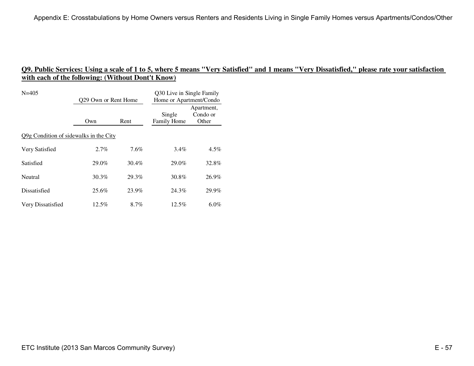| $N = 405$                              | 029 Own or Rent Home |       | Q30 Live in Single Family<br>Home or Apartment/Condo |                                 |
|----------------------------------------|----------------------|-------|------------------------------------------------------|---------------------------------|
|                                        | Own                  | Rent  | Single<br>Family Home                                | Apartment,<br>Condo or<br>Other |
| Q9g Condition of sidewalks in the City |                      |       |                                                      |                                 |
| Very Satisfied                         | $2.7\%$              | 7.6%  | $3.4\%$                                              | $4.5\%$                         |
| Satisfied                              | 29.0%                | 30.4% | 29.0%                                                | 32.8%                           |
| Neutral                                | 30.3%                | 29.3% | 30.8%                                                | 26.9%                           |
| Dissatisfied                           | 25.6%                | 23.9% | 24.3%                                                | 29.9%                           |
| Very Dissatisfied                      | 12.5%                | 8.7%  | $12.5\%$                                             | $6.0\%$                         |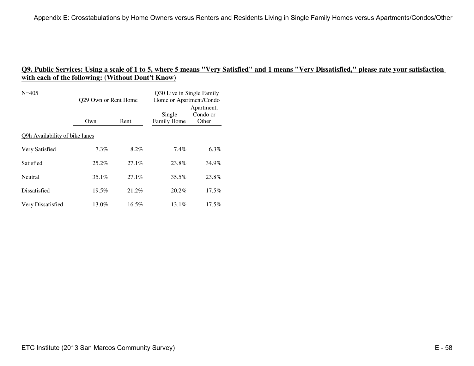| $N = 405$                      | 029 Own or Rent Home |          | Q30 Live in Single Family<br>Home or Apartment/Condo |                                 |
|--------------------------------|----------------------|----------|------------------------------------------------------|---------------------------------|
|                                | Own                  | Rent     | Single<br>Family Home                                | Apartment,<br>Condo or<br>Other |
| Q9h Availability of bike lanes |                      |          |                                                      |                                 |
| Very Satisfied                 | $7.3\%$              | 8.2%     | $7.4\%$                                              | $6.3\%$                         |
| Satisfied                      | $25.2\%$             | $27.1\%$ | 23.8%                                                | 34.9%                           |
| Neutral                        | $35.1\%$             | 27.1%    | $35.5\%$                                             | 23.8%                           |
| Dissatisfied                   | 19.5%                | 21.2%    | 20.2%                                                | $17.5\%$                        |
| Very Dissatisfied              | 13.0%                | 16.5%    | $13.1\%$                                             | $17.5\%$                        |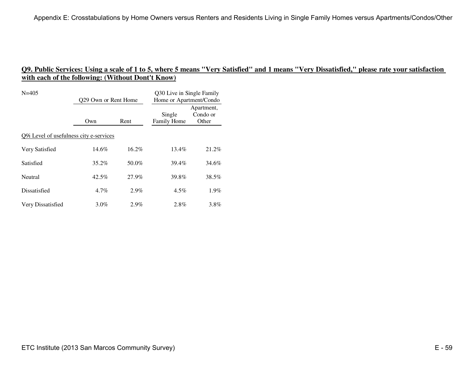| $N = 405$                               | 029 Own or Rent Home |          | Q30 Live in Single Family<br>Home or Apartment/Condo |                                 |  |
|-----------------------------------------|----------------------|----------|------------------------------------------------------|---------------------------------|--|
|                                         | Own                  | Rent     | Single<br>Family Home                                | Apartment,<br>Condo or<br>Other |  |
| Q9i Level of usefulness city e-services |                      |          |                                                      |                                 |  |
| Very Satisfied                          | $14.6\%$             | $16.2\%$ | 13.4%                                                | 21.2%                           |  |
| Satisfied                               | $35.2\%$             | 50.0%    | 39.4%                                                | 34.6%                           |  |
| Neutral                                 | 42.5%                | 27.9%    | 39.8%                                                | 38.5%                           |  |
| Dissatisfied                            | $4.7\%$              | 2.9%     | $4.5\%$                                              | 1.9%                            |  |
| Very Dissatisfied                       | $3.0\%$              | $2.9\%$  | 2.8%                                                 | $3.8\%$                         |  |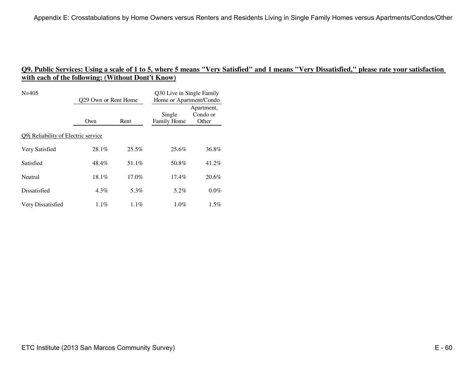| $N = 405$                                   | 029 Own or Rent Home |          | Q30 Live in Single Family<br>Home or Apartment/Condo |                                 |  |
|---------------------------------------------|----------------------|----------|------------------------------------------------------|---------------------------------|--|
|                                             | Own                  | Rent     | Single<br>Family Home                                | Apartment,<br>Condo or<br>Other |  |
| Q9 <i>i</i> Reliability of Electric service |                      |          |                                                      |                                 |  |
| Very Satisfied                              | 28.1%                | 25.5%    | 25.6%                                                | 36.8%                           |  |
| Satisfied                                   | 48.4%                | 51.1%    | 50.8%                                                | 41.2%                           |  |
| Neutral                                     | $18.1\%$             | $17.0\%$ | $17.4\%$                                             | 20.6%                           |  |
| Dissatisfied                                | $4.3\%$              | 5.3%     | 5.2%                                                 | $0.0\%$                         |  |
| Very Dissatisfied                           | 1.1%                 | $1.1\%$  | $1.0\%$                                              | $1.5\%$                         |  |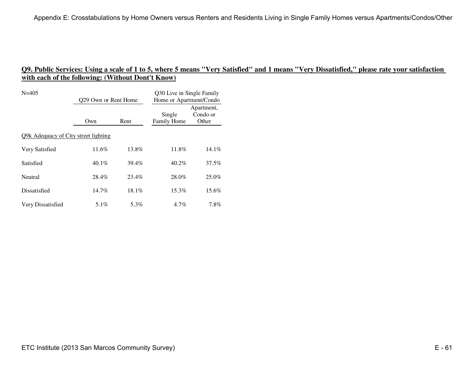| $N = 405$                            | Q29 Own or Rent Home |          | Q30 Live in Single Family<br>Home or Apartment/Condo |                                 |  |
|--------------------------------------|----------------------|----------|------------------------------------------------------|---------------------------------|--|
|                                      | Own                  | Rent     | Single<br>Family Home                                | Apartment,<br>Condo or<br>Other |  |
| Q9k Adequacy of City street lighting |                      |          |                                                      |                                 |  |
| Very Satisfied                       | 11.6%                | 13.8%    | 11.8%                                                | $14.1\%$                        |  |
| Satisfied                            | $40.1\%$             | 39.4%    | 40.2%                                                | 37.5%                           |  |
| Neutral                              | 28.4%                | 23.4%    | 28.0%                                                | $25.0\%$                        |  |
| Dissatisfied                         | $14.7\%$             | $18.1\%$ | $15.3\%$                                             | $15.6\%$                        |  |
| Very Dissatisfied                    | 5.1%                 | 5.3%     | $4.7\%$                                              | $7.8\%$                         |  |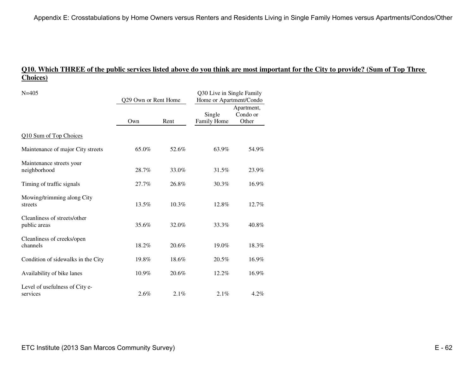# **Q10. Which THREE of the public services listed above do you think are most important for the City to provide? (Sum of Top Three Choices)**

| $N = 405$                                    | Q29 Own or Rent Home |          | Q30 Live in Single Family<br>Home or Apartment/Condo |                                 |
|----------------------------------------------|----------------------|----------|------------------------------------------------------|---------------------------------|
|                                              | Own                  | Rent     | Single<br>Family Home                                | Apartment,<br>Condo or<br>Other |
| Q10 Sum of Top Choices                       |                      |          |                                                      |                                 |
| Maintenance of major City streets            | 65.0%                | 52.6%    | 63.9%                                                | 54.9%                           |
| Maintenance streets your<br>neighborhood     | 28.7%                | 33.0%    | 31.5%                                                | 23.9%                           |
| Timing of traffic signals                    | 27.7%                | 26.8%    | 30.3%                                                | 16.9%                           |
| Mowing/trimming along City<br>streets        | 13.5%                | $10.3\%$ | 12.8%                                                | 12.7%                           |
| Cleanliness of streets/other<br>public areas | 35.6%                | 32.0%    | 33.3%                                                | 40.8%                           |
| Cleanliness of creeks/open<br>channels       | 18.2%                | 20.6%    | 19.0%                                                | 18.3%                           |
| Condition of sidewalks in the City           | 19.8%                | 18.6%    | 20.5%                                                | 16.9%                           |
| Availability of bike lanes                   | 10.9%                | 20.6%    | 12.2%                                                | 16.9%                           |
| Level of usefulness of City e-<br>services   | 2.6%                 | 2.1%     | 2.1%                                                 | $4.2\%$                         |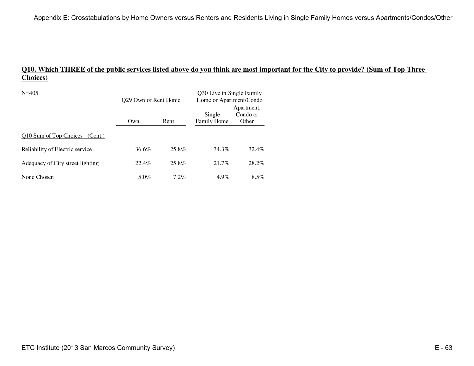# **Q10. Which THREE of the public services listed above do you think are most important for the City to provide? (Sum of Top Three Choices)**

| $N = 405$                         | 029 Own or Rent Home |         | Q30 Live in Single Family<br>Home or Apartment/Condo |                                 |
|-----------------------------------|----------------------|---------|------------------------------------------------------|---------------------------------|
|                                   | Own                  | Rent    | Single<br><b>Family Home</b>                         | Apartment,<br>Condo or<br>Other |
| O10 Sum of Top Choices<br>(Cont.) |                      |         |                                                      |                                 |
| Reliability of Electric service   | 36.6%                | 25.8%   | 34.3%                                                | 32.4%                           |
| Adequacy of City street lighting  | 22.4%                | 25.8%   | 21.7%                                                | 28.2%                           |
| None Chosen                       | 5.0%                 | $7.2\%$ | $4.9\%$                                              | $8.5\%$                         |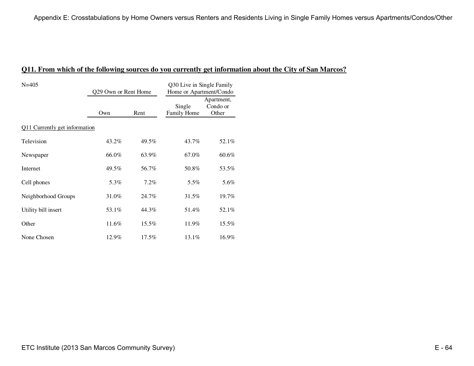### **Q11. From which of the following sources do you currently get information about the City of San Marcos?**

| $N = 405$                     | Q29 Own or Rent Home |          | Q30 Live in Single Family<br>Home or Apartment/Condo |                                 |  |  |
|-------------------------------|----------------------|----------|------------------------------------------------------|---------------------------------|--|--|
|                               | Own                  | Rent     | Single<br>Family Home                                | Apartment,<br>Condo or<br>Other |  |  |
| Q11 Currently get information |                      |          |                                                      |                                 |  |  |
| Television                    | 43.2%                | 49.5%    | 43.7%                                                | 52.1%                           |  |  |
| Newspaper                     | 66.0%                | 63.9%    | 67.0%                                                | 60.6%                           |  |  |
| Internet                      | 49.5%                | 56.7%    | 50.8%                                                | 53.5%                           |  |  |
| Cell phones                   | 5.3%                 | 7.2%     | 5.5%                                                 | 5.6%                            |  |  |
| Neighborhood Groups           | 31.0%                | 24.7%    | 31.5%                                                | 19.7%                           |  |  |
| Utility bill insert           | 53.1%                | 44.3%    | 51.4%                                                | 52.1%                           |  |  |
| Other                         | 11.6%                | 15.5%    | 11.9%                                                | 15.5%                           |  |  |
| None Chosen                   | 12.9%                | $17.5\%$ | 13.1%                                                | 16.9%                           |  |  |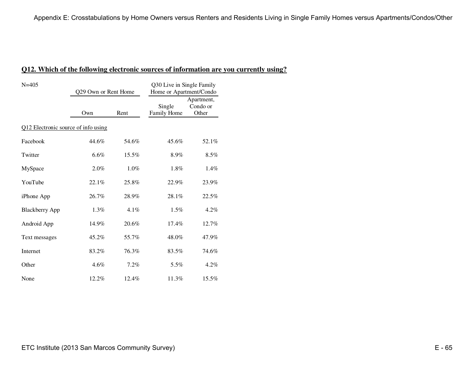#### **Q12. Which of the following electronic sources of information are you currently using?**

| $N = 405$                           | Q29 Own or Rent Home |         | Q30 Live in Single Family<br>Home or Apartment/Condo |                                 |  |  |
|-------------------------------------|----------------------|---------|------------------------------------------------------|---------------------------------|--|--|
|                                     | Own                  | Rent    | Single<br>Family Home                                | Apartment,<br>Condo or<br>Other |  |  |
| Q12 Electronic source of info using |                      |         |                                                      |                                 |  |  |
| Facebook                            | 44.6%                | 54.6%   | 45.6%                                                | 52.1%                           |  |  |
| Twitter                             | 6.6%                 | 15.5%   | 8.9%                                                 | $8.5\%$                         |  |  |
| MySpace                             | 2.0%                 | $1.0\%$ | 1.8%                                                 | 1.4%                            |  |  |
| YouTube                             | 22.1%                | 25.8%   | 22.9%                                                | 23.9%                           |  |  |
| iPhone App                          | 26.7%                | 28.9%   | 28.1%                                                | 22.5%                           |  |  |
| <b>Blackberry App</b>               | 1.3%                 | $4.1\%$ | 1.5%                                                 | $4.2\%$                         |  |  |
| Android App                         | 14.9%                | 20.6%   | 17.4%                                                | 12.7%                           |  |  |
| Text messages                       | 45.2%                | 55.7%   | 48.0%                                                | 47.9%                           |  |  |
| Internet                            | 83.2%                | 76.3%   | 83.5%                                                | 74.6%                           |  |  |
| Other                               | 4.6%                 | 7.2%    | 5.5%                                                 | $4.2\%$                         |  |  |
| None                                | 12.2%                | 12.4%   | 11.3%                                                | 15.5%                           |  |  |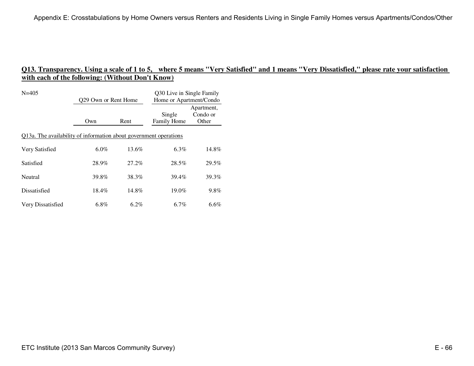| $N = 405$                                                         | 029 Own or Rent Home |          | Q30 Live in Single Family<br>Home or Apartment/Condo |                                 |  |
|-------------------------------------------------------------------|----------------------|----------|------------------------------------------------------|---------------------------------|--|
|                                                                   | Own                  | Rent     | Single<br>Family Home                                | Apartment,<br>Condo or<br>Other |  |
| Q13a. The availability of information about government operations |                      |          |                                                      |                                 |  |
| Very Satisfied                                                    | $6.0\%$              | 13.6%    | $6.3\%$                                              | 14.8%                           |  |
| Satisfied                                                         | 28.9%                | $27.2\%$ | 28.5%                                                | 29.5%                           |  |
| Neutral                                                           | 39.8%                | 38.3%    | 39.4%                                                | 39.3%                           |  |
| Dissatisfied                                                      | 18.4%                | 14.8%    | 19.0%                                                | 9.8%                            |  |
| Very Dissatisfied                                                 | 6.8%                 | $6.2\%$  | 6.7%                                                 | $6.6\%$                         |  |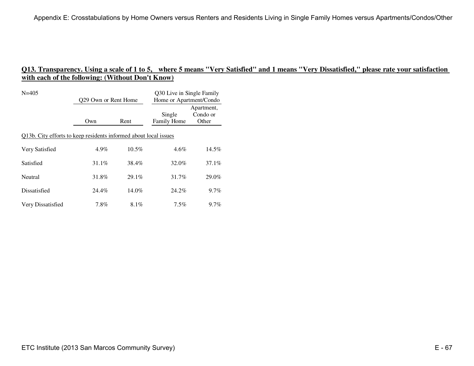| $N = 405$                                                        | Q29 Own or Rent Home |          | Q30 Live in Single Family<br>Home or Apartment/Condo |                                 |  |
|------------------------------------------------------------------|----------------------|----------|------------------------------------------------------|---------------------------------|--|
|                                                                  | Own                  | Rent     | Single<br><b>Family Home</b>                         | Apartment,<br>Condo or<br>Other |  |
| Q13b. City efforts to keep residents informed about local issues |                      |          |                                                      |                                 |  |
| Very Satisfied                                                   | $4.9\%$              | $10.5\%$ | $4.6\%$                                              | 14.5%                           |  |
| Satisfied                                                        | 31.1%                | 38.4%    | 32.0%                                                | 37.1%                           |  |
| Neutral                                                          | 31.8%                | 29.1%    | 31.7%                                                | 29.0%                           |  |
| Dissatisfied                                                     | 24.4%                | $14.0\%$ | 24.2%                                                | $9.7\%$                         |  |
| Very Dissatisfied                                                | 7.8%                 | $8.1\%$  | $7.5\%$                                              | $9.7\%$                         |  |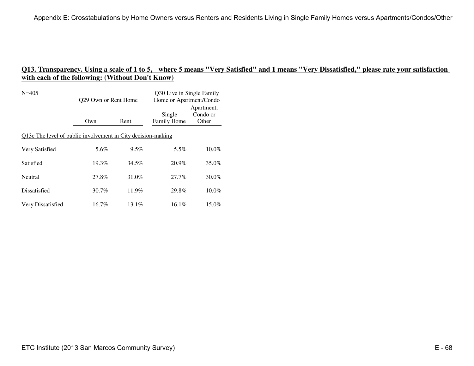| $N = 405$                                                    | Q29 Own or Rent Home |          | Q30 Live in Single Family<br>Home or Apartment/Condo |                                 |  |
|--------------------------------------------------------------|----------------------|----------|------------------------------------------------------|---------------------------------|--|
|                                                              | Own                  | Rent     | Single<br>Family Home                                | Apartment,<br>Condo or<br>Other |  |
| Q13c The level of public involvement in City decision-making |                      |          |                                                      |                                 |  |
| Very Satisfied                                               | 5.6%                 | $9.5\%$  | 5.5%                                                 | $10.0\%$                        |  |
| Satisfied                                                    | 19.3%                | 34.5%    | 20.9%                                                | 35.0%                           |  |
| Neutral                                                      | 27.8%                | 31.0%    | 27.7%                                                | $30.0\%$                        |  |
| Dissatisfied                                                 | $30.7\%$             | 11.9%    | 29.8%                                                | $10.0\%$                        |  |
| Very Dissatisfied                                            | $16.7\%$             | $13.1\%$ | $16.1\%$                                             | 15.0%                           |  |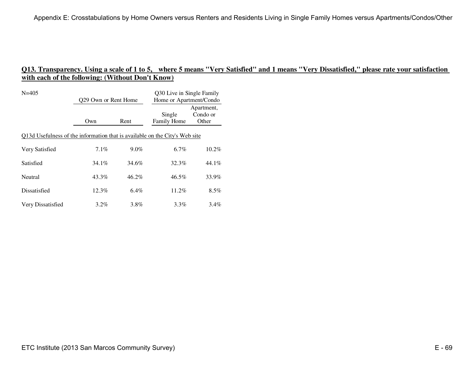| $N = 405$                                                                   | Q29 Own or Rent Home |         | Q30 Live in Single Family<br>Home or Apartment/Condo |                                 |
|-----------------------------------------------------------------------------|----------------------|---------|------------------------------------------------------|---------------------------------|
|                                                                             | Own                  | Rent    | Single<br>Family Home                                | Apartment,<br>Condo or<br>Other |
| Q13d Usefulness of the information that is available on the City's Web site |                      |         |                                                      |                                 |
| Very Satisfied                                                              | $7.1\%$              | $9.0\%$ | $6.7\%$                                              | $10.2\%$                        |
| Satisfied                                                                   | $34.1\%$             | 34.6%   | 32.3%                                                | 44.1%                           |
| Neutral                                                                     | 43.3%                | 46.2%   | $46.5\%$                                             | 33.9%                           |
| Dissatisfied                                                                | $12.3\%$             | $6.4\%$ | $11.2\%$                                             | $8.5\%$                         |
| Very Dissatisfied                                                           | $3.2\%$              | $3.8\%$ | $3.3\%$                                              | 3.4%                            |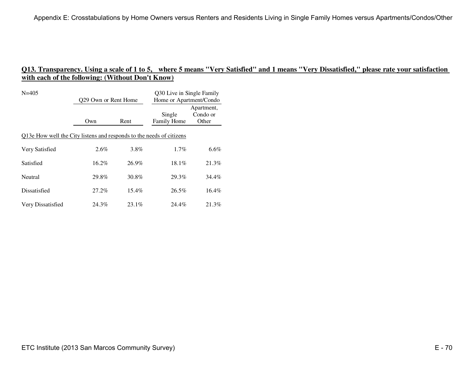| $N = 405$                                                            | 029 Own or Rent Home |          | Q30 Live in Single Family<br>Home or Apartment/Condo |                                 |
|----------------------------------------------------------------------|----------------------|----------|------------------------------------------------------|---------------------------------|
|                                                                      | Own                  | Rent     | Single<br>Family Home                                | Apartment,<br>Condo or<br>Other |
| Q13e How well the City listens and responds to the needs of citizens |                      |          |                                                      |                                 |
| Very Satisfied                                                       | $2.6\%$              | 3.8%     | $1.7\%$                                              | $6.6\%$                         |
| Satisfied                                                            | $16.2\%$             | $26.9\%$ | 18.1%                                                | 21.3%                           |
| Neutral                                                              | 29.8%                | 30.8%    | 29.3%                                                | 34.4%                           |
| Dissatisfied                                                         | 27.2%                | $15.4\%$ | 26.5%                                                | 16.4%                           |
| Very Dissatisfied                                                    | 24.3%                | $23.1\%$ | 24.4%                                                | 21.3%                           |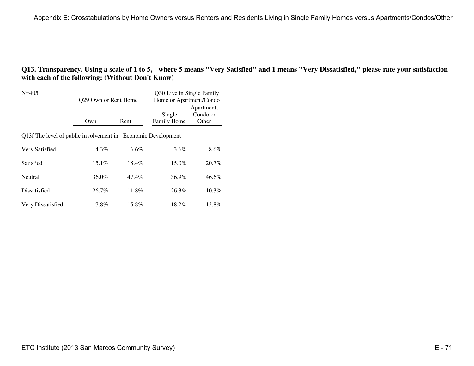| $N = 405$                                                    | 029 Own or Rent Home |          | Q30 Live in Single Family<br>Home or Apartment/Condo |                                 |
|--------------------------------------------------------------|----------------------|----------|------------------------------------------------------|---------------------------------|
|                                                              | Own                  | Rent     | Single<br>Family Home                                | Apartment,<br>Condo or<br>Other |
| Q13f The level of public involvement in Economic Development |                      |          |                                                      |                                 |
| Very Satisfied                                               | $4.3\%$              | $6.6\%$  | 3.6%                                                 | $8.6\%$                         |
| Satisfied                                                    | $15.1\%$             | $18.4\%$ | 15.0%                                                | 20.7%                           |
| Neutral                                                      | 36.0%                | 47.4%    | 36.9%                                                | 46.6%                           |
| Dissatisfied                                                 | 26.7%                | 11.8%    | 26.3%                                                | $10.3\%$                        |
| Very Dissatisfied                                            | 17.8%                | 15.8%    | 18.2%                                                | 13.8%                           |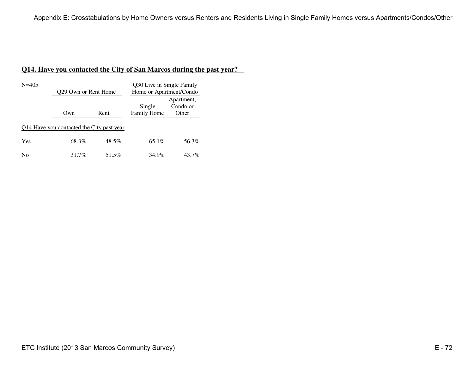# **Q14. Have you contacted the City of San Marcos during the past year?**

| $N = 405$                                 | 029 Own or Rent Home |          | Q30 Live in Single Family<br>Home or Apartment/Condo |                                 |
|-------------------------------------------|----------------------|----------|------------------------------------------------------|---------------------------------|
|                                           | Own                  | Rent     | Single<br><b>Family Home</b>                         | Apartment,<br>Condo or<br>Other |
| 014 Have you contacted the City past year |                      |          |                                                      |                                 |
| Yes                                       | 68.3%                | $48.5\%$ | $65.1\%$                                             | 56.3%                           |
| No                                        | 31.7%                | 51.5%    | 34.9%                                                | 43.7%                           |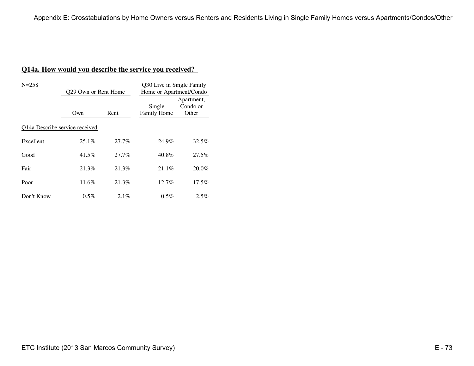# **Q14a. How would you describe the service you received?**

| $N = 258$                      | Q29 Own or Rent Home |         | Q30 Live in Single Family<br>Home or Apartment/Condo |                                 |
|--------------------------------|----------------------|---------|------------------------------------------------------|---------------------------------|
|                                | Own                  | Rent    | Single<br><b>Family Home</b>                         | Apartment,<br>Condo or<br>Other |
| Q14a Describe service received |                      |         |                                                      |                                 |
| Excellent                      | $25.1\%$             | 27.7%   | 24.9%                                                | 32.5%                           |
| Good                           | 41.5%                | 27.7%   | 40.8%                                                | 27.5%                           |
| Fair                           | 21.3%                | 21.3%   | $21.1\%$                                             | 20.0%                           |
| Poor                           | 11.6%                | 21.3%   | 12.7%                                                | $17.5\%$                        |
| Don't Know                     | $0.5\%$              | $2.1\%$ | $0.5\%$                                              | 2.5%                            |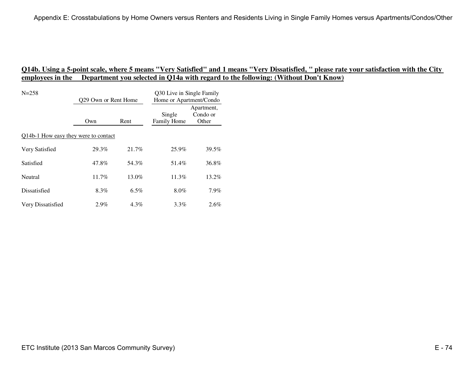| $N = 258$                            | Q29 Own or Rent Home |         | Q30 Live in Single Family<br>Home or Apartment/Condo |                                 |
|--------------------------------------|----------------------|---------|------------------------------------------------------|---------------------------------|
|                                      | Own                  | Rent    | Single<br>Family Home                                | Apartment,<br>Condo or<br>Other |
| Q14b-1 How easy they were to contact |                      |         |                                                      |                                 |
| Very Satisfied                       | 29.3%                | 21.7%   | 25.9%                                                | 39.5%                           |
| Satisfied                            | 47.8%                | 54.3%   | 51.4%                                                | 36.8%                           |
| Neutral                              | $11.7\%$             | 13.0%   | $11.3\%$                                             | $13.2\%$                        |
| Dissatisfied                         | 8.3%                 | $6.5\%$ | $8.0\%$                                              | 7.9%                            |
| Very Dissatisfied                    | 2.9%                 | $4.3\%$ | $3.3\%$                                              | 2.6%                            |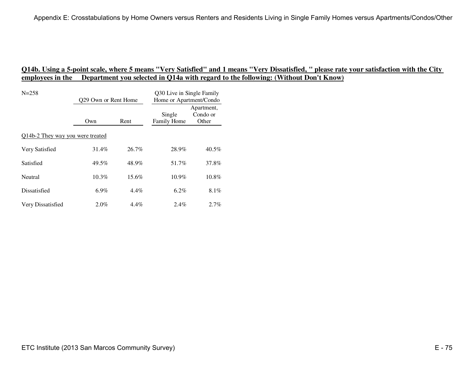| $N = 258$                        | Q29 Own or Rent Home |          | Q30 Live in Single Family<br>Home or Apartment/Condo |                                 |
|----------------------------------|----------------------|----------|------------------------------------------------------|---------------------------------|
|                                  | Own                  | Rent     | Single<br>Family Home                                | Apartment,<br>Condo or<br>Other |
| Q14b-2 They way you were treated |                      |          |                                                      |                                 |
| Very Satisfied                   | 31.4%                | 26.7%    | 28.9%                                                | $40.5\%$                        |
| Satisfied                        | 49.5%                | 48.9%    | 51.7%                                                | 37.8%                           |
| Neutral                          | $10.3\%$             | $15.6\%$ | $10.9\%$                                             | 10.8%                           |
| Dissatisfied                     | $6.9\%$              | $4.4\%$  | $6.2\%$                                              | 8.1%                            |
| Very Dissatisfied                | $2.0\%$              | $4.4\%$  | $2.4\%$                                              | 2.7%                            |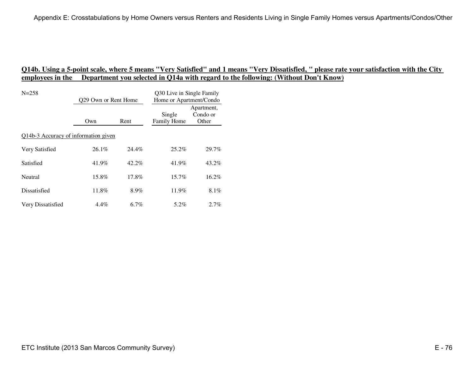| $N = 258$                            | 029 Own or Rent Home |       | Q30 Live in Single Family<br>Home or Apartment/Condo |                                 |
|--------------------------------------|----------------------|-------|------------------------------------------------------|---------------------------------|
|                                      | Own                  | Rent  | Single<br>Family Home                                | Apartment,<br>Condo or<br>Other |
| Q14b-3 Accuracy of information given |                      |       |                                                      |                                 |
| Very Satisfied                       | $26.1\%$             | 24.4% | $25.2\%$                                             | 29.7%                           |
| Satisfied                            | 41.9%                | 42.2% | 41.9%                                                | 43.2%                           |
| Neutral                              | 15.8%                | 17.8% | $15.7\%$                                             | 16.2%                           |
| Dissatisfied                         | 11.8%                | 8.9%  | 11.9%                                                | $8.1\%$                         |
| Very Dissatisfied                    | 4.4%                 | 6.7%  | 5.2%                                                 | 2.7%                            |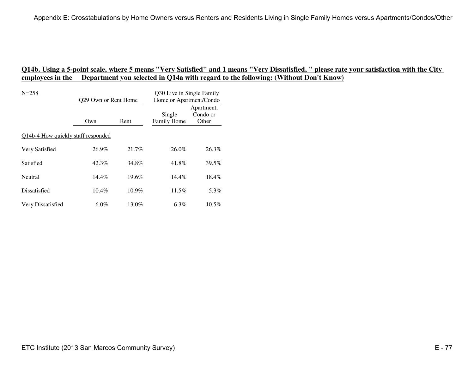| $N = 258$                          | 029 Own or Rent Home |          | Q30 Live in Single Family<br>Home or Apartment/Condo |                                 |
|------------------------------------|----------------------|----------|------------------------------------------------------|---------------------------------|
|                                    | Own                  | Rent     | Single<br>Family Home                                | Apartment,<br>Condo or<br>Other |
| Q14b-4 How quickly staff responded |                      |          |                                                      |                                 |
| Very Satisfied                     | 26.9%                | 21.7%    | 26.0%                                                | 26.3%                           |
| Satisfied                          | 42.3%                | 34.8%    | 41.8%                                                | 39.5%                           |
| Neutral                            | $14.4\%$             | $19.6\%$ | $14.4\%$                                             | $18.4\%$                        |
| Dissatisfied                       | $10.4\%$             | $10.9\%$ | 11.5%                                                | 5.3%                            |
| Very Dissatisfied                  | $6.0\%$              | 13.0%    | 6.3%                                                 | $10.5\%$                        |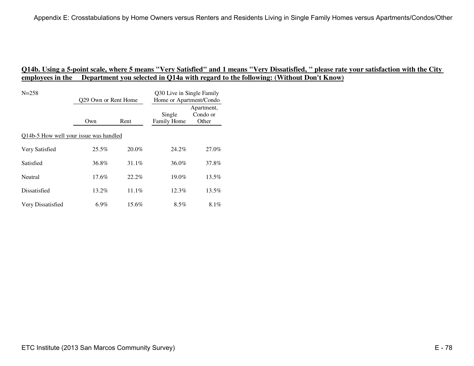| $N = 258$                              | 029 Own or Rent Home |          | Q30 Live in Single Family<br>Home or Apartment/Condo |                                 |
|----------------------------------------|----------------------|----------|------------------------------------------------------|---------------------------------|
|                                        | Own                  | Rent     | Single<br>Family Home                                | Apartment,<br>Condo or<br>Other |
| Q14b-5 How well your issue was handled |                      |          |                                                      |                                 |
| Very Satisfied                         | $25.5\%$             | $20.0\%$ | 24.2%                                                | 27.0%                           |
| Satisfied                              | 36.8%                | $31.1\%$ | 36.0%                                                | 37.8%                           |
| Neutral                                | $17.6\%$             | $22.2\%$ | $19.0\%$                                             | 13.5%                           |
| Dissatisfied                           | $13.2\%$             | 11.1%    | $12.3\%$                                             | 13.5%                           |
| Very Dissatisfied                      | $6.9\%$              | 15.6%    | $8.5\%$                                              | 8.1%                            |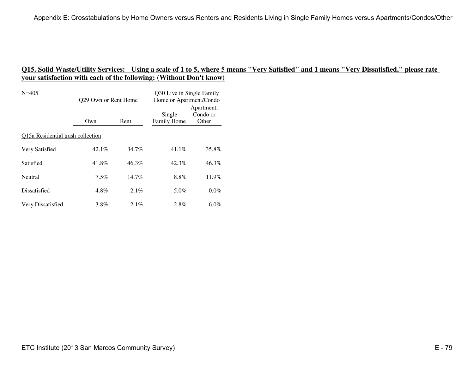| $N = 405$                         | 029 Own or Rent Home |          | Q30 Live in Single Family<br>Home or Apartment/Condo |                                 |
|-----------------------------------|----------------------|----------|------------------------------------------------------|---------------------------------|
|                                   | Own                  | Rent     | Single<br>Family Home                                | Apartment,<br>Condo or<br>Other |
| Q15a Residential trash collection |                      |          |                                                      |                                 |
| Very Satisfied                    | $42.1\%$             | 34.7%    | $41.1\%$                                             | 35.8%                           |
| Satisfied                         | 41.8%                | $46.3\%$ | 42.3%                                                | 46.3%                           |
| Neutral                           | $7.5\%$              | $14.7\%$ | 8.8%                                                 | 11.9%                           |
| Dissatisfied                      | $4.8\%$              | 2.1%     | 5.0%                                                 | $0.0\%$                         |
| Very Dissatisfied                 | 3.8%                 | $2.1\%$  | 2.8%                                                 | $6.0\%$                         |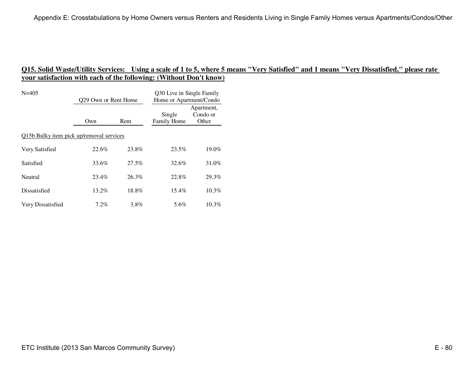| $N = 405$                                | 029 Own or Rent Home |          | Q30 Live in Single Family<br>Home or Apartment/Condo |                                 |
|------------------------------------------|----------------------|----------|------------------------------------------------------|---------------------------------|
|                                          | Own                  | Rent     | Single<br>Family Home                                | Apartment,<br>Condo or<br>Other |
| Q15b Bulky item pick up/removal services |                      |          |                                                      |                                 |
| Very Satisfied                           | 22.6%                | 23.8%    | 23.5%                                                | 19.0%                           |
| Satisfied                                | 33.6%                | $27.5\%$ | 32.6%                                                | 31.0%                           |
| Neutral                                  | 23.4%                | 26.3%    | 22.8%                                                | 29.3%                           |
| Dissatisfied                             | $13.2\%$             | 18.8%    | $15.4\%$                                             | $10.3\%$                        |
| Very Dissatisfied                        | 7.2%                 | 3.8%     | 5.6%                                                 | $10.3\%$                        |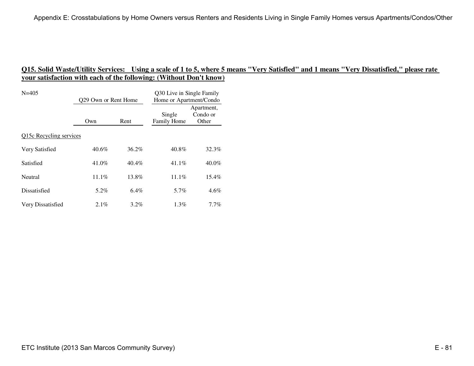| $N = 405$               | Q29 Own or Rent Home |          | Q30 Live in Single Family<br>Home or Apartment/Condo |                                 |
|-------------------------|----------------------|----------|------------------------------------------------------|---------------------------------|
|                         | Own                  | Rent     | Single<br>Family Home                                | Apartment,<br>Condo or<br>Other |
| Q15c Recycling services |                      |          |                                                      |                                 |
| Very Satisfied          | 40.6%                | $36.2\%$ | 40.8%                                                | 32.3%                           |
| Satisfied               | 41.0%                | $40.4\%$ | 41.1%                                                | 40.0%                           |
| Neutral                 | $11.1\%$             | 13.8%    | $11.1\%$                                             | 15.4%                           |
| Dissatisfied            | $5.2\%$              | $6.4\%$  | 5.7%                                                 | $4.6\%$                         |
| Very Dissatisfied       | $2.1\%$              | $3.2\%$  | $1.3\%$                                              | $7.7\%$                         |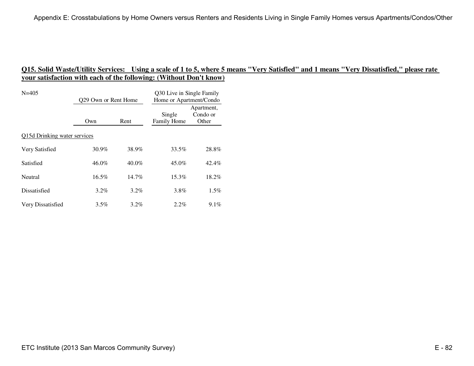| $N = 405$                    | 029 Own or Rent Home |          | Q30 Live in Single Family<br>Home or Apartment/Condo |                                 |
|------------------------------|----------------------|----------|------------------------------------------------------|---------------------------------|
|                              | Own                  | Rent     | Single<br>Family Home                                | Apartment,<br>Condo or<br>Other |
| Q15d Drinking water services |                      |          |                                                      |                                 |
| Very Satisfied               | 30.9%                | 38.9%    | 33.5%                                                | 28.8%                           |
| Satisfied                    | $46.0\%$             | $40.0\%$ | 45.0%                                                | 42.4%                           |
| Neutral                      | $16.5\%$             | $14.7\%$ | $15.3\%$                                             | 18.2%                           |
| Dissatisfied                 | $3.2\%$              | $3.2\%$  | 3.8%                                                 | $1.5\%$                         |
| Very Dissatisfied            | $3.5\%$              | $3.2\%$  | $2.2\%$                                              | $9.1\%$                         |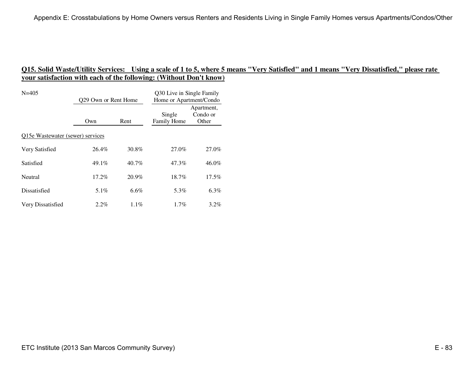| $N = 405$                        | 029 Own or Rent Home |          | Q30 Live in Single Family<br>Home or Apartment/Condo |                                 |
|----------------------------------|----------------------|----------|------------------------------------------------------|---------------------------------|
|                                  | Own                  | Rent     | Single<br>Family Home                                | Apartment,<br>Condo or<br>Other |
| Q15e Wastewater (sewer) services |                      |          |                                                      |                                 |
| Very Satisfied                   | 26.4%                | 30.8%    | 27.0%                                                | 27.0%                           |
| Satisfied                        | $49.1\%$             | $40.7\%$ | 47.3%                                                | 46.0%                           |
| Neutral                          | 17.2%                | $20.9\%$ | 18.7%                                                | 17.5%                           |
| Dissatisfied                     | 5.1%                 | $6.6\%$  | 5.3%                                                 | 6.3%                            |
| Very Dissatisfied                | $2.2\%$              | $1.1\%$  | $1.7\%$                                              | $3.2\%$                         |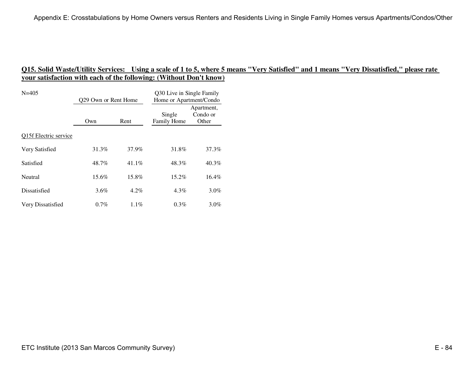| $N = 405$             | Q29 Own or Rent Home |         | Q30 Live in Single Family<br>Home or Apartment/Condo |                                 |
|-----------------------|----------------------|---------|------------------------------------------------------|---------------------------------|
|                       | Own                  | Rent    | Single<br>Family Home                                | Apartment,<br>Condo or<br>Other |
| Q15f Electric service |                      |         |                                                      |                                 |
| Very Satisfied        | 31.3%                | 37.9%   | 31.8%                                                | 37.3%                           |
| Satisfied             | 48.7%                | 41.1%   | 48.3%                                                | 40.3%                           |
| Neutral               | 15.6%                | 15.8%   | $15.2\%$                                             | $16.4\%$                        |
| Dissatisfied          | 3.6%                 | $4.2\%$ | $4.3\%$                                              | 3.0%                            |
| Very Dissatisfied     | $0.7\%$              | 1.1%    | 0.3%                                                 | $3.0\%$                         |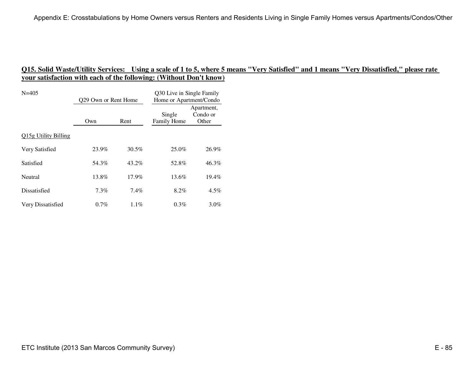| $N = 405$            | Q29 Own or Rent Home |          | Q30 Live in Single Family<br>Home or Apartment/Condo |                                 |
|----------------------|----------------------|----------|------------------------------------------------------|---------------------------------|
|                      | Own                  | Rent     | Single<br>Family Home                                | Apartment,<br>Condo or<br>Other |
| Q15g Utility Billing |                      |          |                                                      |                                 |
| Very Satisfied       | 23.9%                | 30.5%    | 25.0%                                                | 26.9%                           |
| Satisfied            | 54.3%                | 43.2%    | 52.8%                                                | 46.3%                           |
| Neutral              | 13.8%                | $17.9\%$ | 13.6%                                                | $19.4\%$                        |
| Dissatisfied         | $7.3\%$              | $7.4\%$  | 8.2%                                                 | $4.5\%$                         |
| Very Dissatisfied    | 0.7%                 | $1.1\%$  | 0.3%                                                 | $3.0\%$                         |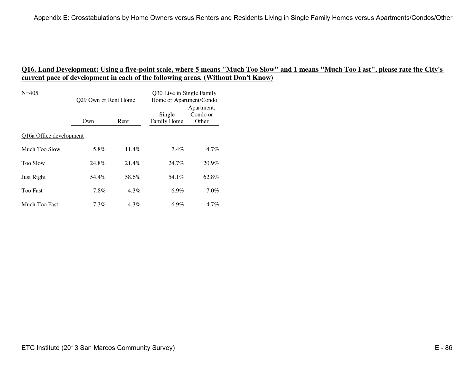| $N = 405$               | Q29 Own or Rent Home |         | Q30 Live in Single Family<br>Home or Apartment/Condo |                                 |  |
|-------------------------|----------------------|---------|------------------------------------------------------|---------------------------------|--|
|                         | Own                  | Rent    | Single<br><b>Family Home</b>                         | Apartment,<br>Condo or<br>Other |  |
| Q16a Office development |                      |         |                                                      |                                 |  |
| Much Too Slow           | 5.8%                 | 11.4%   | $7.4\%$                                              | 4.7%                            |  |
| <b>Too Slow</b>         | 24.8%                | 21.4%   | 24.7%                                                | 20.9%                           |  |
| Just Right              | 54.4%                | 58.6%   | 54.1%                                                | 62.8%                           |  |
| <b>Too Fast</b>         | 7.8%                 | $4.3\%$ | $6.9\%$                                              | 7.0%                            |  |
| Much Too Fast           | $7.3\%$              | $4.3\%$ | $6.9\%$                                              | $4.7\%$                         |  |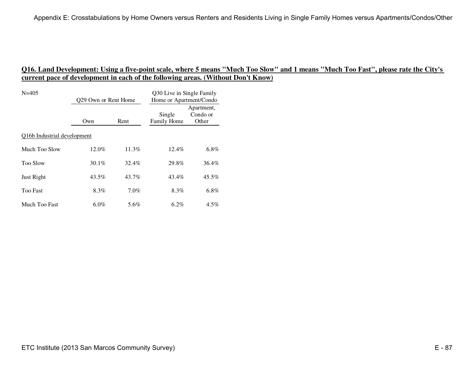| $N = 405$                   | Q29 Own or Rent Home |          | Q30 Live in Single Family<br>Home or Apartment/Condo |                                 |  |
|-----------------------------|----------------------|----------|------------------------------------------------------|---------------------------------|--|
|                             | Own                  | Rent     | Single<br><b>Family Home</b>                         | Apartment,<br>Condo or<br>Other |  |
| Q16b Industrial development |                      |          |                                                      |                                 |  |
| Much Too Slow               | 12.0%                | $11.3\%$ | $12.4\%$                                             | $6.8\%$                         |  |
| <b>Too Slow</b>             | 30.1%                | 32.4%    | 29.8%                                                | 36.4%                           |  |
| Just Right                  | 43.5%                | 43.7%    | 43.4%                                                | 45.5%                           |  |
| <b>Too Fast</b>             | 8.3%                 | $7.0\%$  | 8.3%                                                 | $6.8\%$                         |  |
| Much Too Fast               | $6.0\%$              | 5.6%     | $6.2\%$                                              | $4.5\%$                         |  |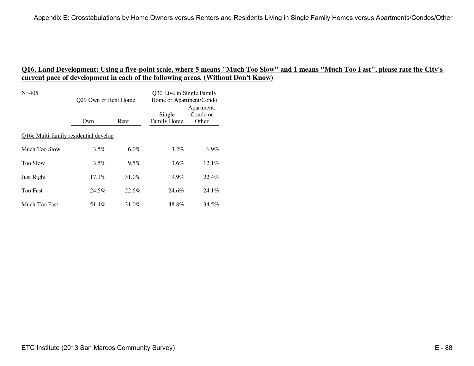| $N = 405$                             | Q29 Own or Rent Home |         | Q30 Live in Single Family<br>Home or Apartment/Condo |                                 |
|---------------------------------------|----------------------|---------|------------------------------------------------------|---------------------------------|
|                                       | Own                  | Rent    | Single<br><b>Family Home</b>                         | Apartment,<br>Condo or<br>Other |
| Q16c Multi-family residential develop |                      |         |                                                      |                                 |
| Much Too Slow                         | $3.5\%$              | $6.0\%$ | $3.2\%$                                              | $6.9\%$                         |
| <b>Too Slow</b>                       | $3.5\%$              | $9.5\%$ | $3.6\%$                                              | 12.1%                           |
| Just Right                            | $17.1\%$             | 31.0%   | $19.9\%$                                             | 22.4%                           |
| <b>Too Fast</b>                       | 24.5%                | 22.6%   | 24.6%                                                | $24.1\%$                        |
| Much Too Fast                         | 51.4%                | 31.0%   | 48.8%                                                | 34.5%                           |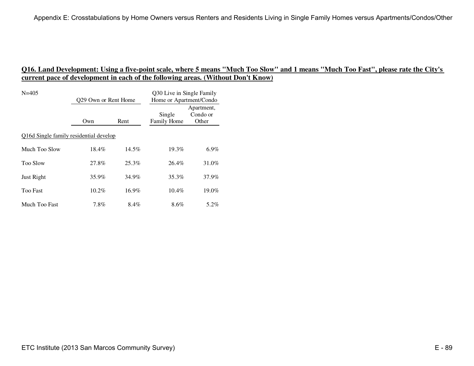| $N = 405$                              | Q29 Own or Rent Home |          | Q30 Live in Single Family<br>Home or Apartment/Condo |                                 |
|----------------------------------------|----------------------|----------|------------------------------------------------------|---------------------------------|
|                                        | Own                  | Rent     | Single<br>Family Home                                | Apartment,<br>Condo or<br>Other |
| Q16d Single family residential develop |                      |          |                                                      |                                 |
| Much Too Slow                          | 18.4%                | $14.5\%$ | $19.3\%$                                             | $6.9\%$                         |
| <b>Too Slow</b>                        | 27.8%                | 25.3%    | 26.4%                                                | 31.0%                           |
| Just Right                             | 35.9%                | 34.9%    | 35.3%                                                | 37.9%                           |
| <b>Too Fast</b>                        | 10.2%                | 16.9%    | $10.4\%$                                             | 19.0%                           |
| Much Too Fast                          | 7.8%                 | 8.4%     | $8.6\%$                                              | 5.2%                            |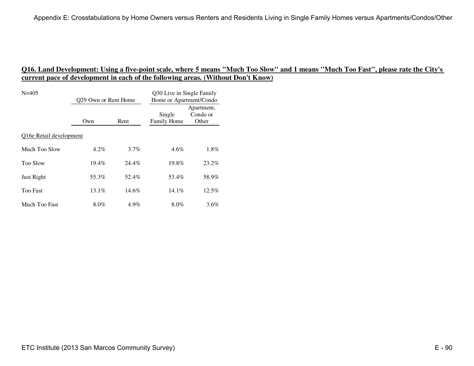| $N = 405$               | Q29 Own or Rent Home |         | Q30 Live in Single Family<br>Home or Apartment/Condo |                                 |  |
|-------------------------|----------------------|---------|------------------------------------------------------|---------------------------------|--|
|                         | Own                  | Rent    | Single<br><b>Family Home</b>                         | Apartment,<br>Condo or<br>Other |  |
| Q16e Retail development |                      |         |                                                      |                                 |  |
| Much Too Slow           | $4.2\%$              | $3.7\%$ | $4.6\%$                                              | 1.8%                            |  |
| <b>Too Slow</b>         | 19.4%                | 24.4%   | 19.8%                                                | 23.2%                           |  |
| Just Right              | 55.3%                | 52.4%   | 53.4%                                                | 58.9%                           |  |
| <b>Too Fast</b>         | 13.1%                | 14.6%   | $14.1\%$                                             | $12.5\%$                        |  |
| Much Too Fast           | $8.0\%$              | 4.9%    | $8.0\%$                                              | $3.6\%$                         |  |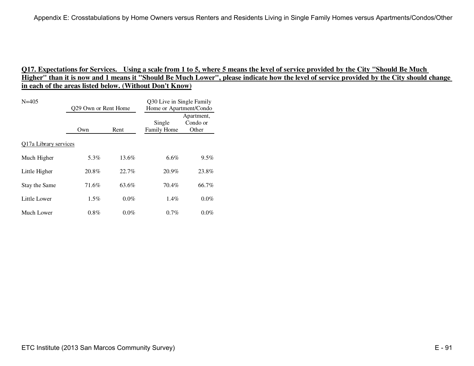| $N = 405$             | Q29 Own or Rent Home |         | Q30 Live in Single Family<br>Home or Apartment/Condo |                                 |  |
|-----------------------|----------------------|---------|------------------------------------------------------|---------------------------------|--|
|                       | Own                  | Rent    | Single<br>Family Home                                | Apartment,<br>Condo or<br>Other |  |
| Q17a Library services |                      |         |                                                      |                                 |  |
| Much Higher           | 5.3%                 | 13.6%   | $6.6\%$                                              | $9.5\%$                         |  |
| Little Higher         | 20.8%                | 22.7%   | 20.9%                                                | 23.8%                           |  |
| Stay the Same         | 71.6%                | 63.6%   | 70.4%                                                | 66.7%                           |  |
| Little Lower          | $1.5\%$              | $0.0\%$ | $1.4\%$                                              | $0.0\%$                         |  |
| Much Lower            | $0.8\%$              | $0.0\%$ | $0.7\%$                                              | $0.0\%$                         |  |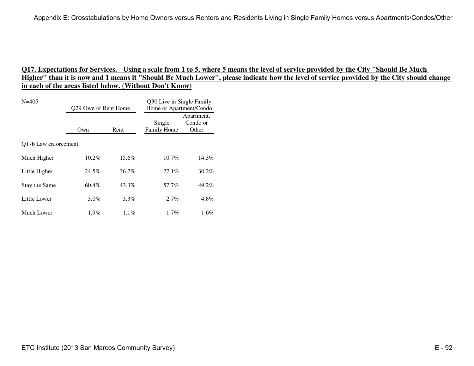| $N = 405$                         | Q29 Own or Rent Home |         | Q30 Live in Single Family<br>Home or Apartment/Condo |                                 |
|-----------------------------------|----------------------|---------|------------------------------------------------------|---------------------------------|
|                                   | Own                  | Rent    | Single<br>Family Home                                | Apartment,<br>Condo or<br>Other |
| O <sub>17</sub> b Law enforcement |                      |         |                                                      |                                 |
| Much Higher                       | 10.2%                | 15.6%   | $10.7\%$                                             | 14.3%                           |
| Little Higher                     | 24.5%                | 36.7%   | $27.1\%$                                             | 30.2%                           |
| Stay the Same                     | 60.4%                | 43.3%   | 57.7%                                                | 49.2%                           |
| Little Lower                      | $3.0\%$              | $3.3\%$ | $2.7\%$                                              | 4.8%                            |
| Much Lower                        | $1.9\%$              | $1.1\%$ | $1.7\%$                                              | 1.6%                            |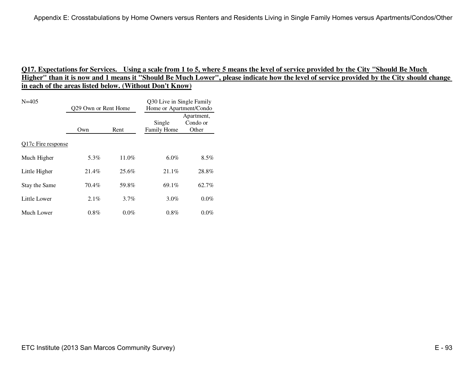| $N = 405$          | Q29 Own or Rent Home |         | Q30 Live in Single Family<br>Home or Apartment/Condo |                                 |
|--------------------|----------------------|---------|------------------------------------------------------|---------------------------------|
|                    | Own                  | Rent    | Single<br>Family Home                                | Apartment,<br>Condo or<br>Other |
| Q17c Fire response |                      |         |                                                      |                                 |
| Much Higher        | 5.3%                 | 11.0%   | 6.0%                                                 | $8.5\%$                         |
| Little Higher      | 21.4%                | 25.6%   | 21.1%                                                | 28.8%                           |
| Stay the Same      | 70.4%                | 59.8%   | 69.1%                                                | 62.7%                           |
| Little Lower       | $2.1\%$              | $3.7\%$ | $3.0\%$                                              | $0.0\%$                         |
| Much Lower         | $0.8\%$              | $0.0\%$ | $0.8\%$                                              | $0.0\%$                         |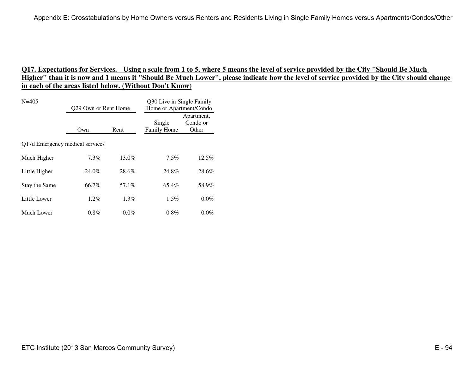| $N = 405$                              | Q29 Own or Rent Home |         | Q30 Live in Single Family<br>Home or Apartment/Condo |                                 |  |
|----------------------------------------|----------------------|---------|------------------------------------------------------|---------------------------------|--|
|                                        | Own                  | Rent    | Single<br>Family Home                                | Apartment,<br>Condo or<br>Other |  |
| <b>Q17d Emergency medical services</b> |                      |         |                                                      |                                 |  |
| Much Higher                            | $7.3\%$              | 13.0%   | $7.5\%$                                              | 12.5%                           |  |
| Little Higher                          | 24.0%                | 28.6%   | 24.8%                                                | 28.6%                           |  |
| Stay the Same                          | 66.7%                | 57.1%   | 65.4%                                                | 58.9%                           |  |
| Little Lower                           | $1.2\%$              | $1.3\%$ | $1.5\%$                                              | $0.0\%$                         |  |
| Much Lower                             | $0.8\%$              | $0.0\%$ | $0.8\%$                                              | $0.0\%$                         |  |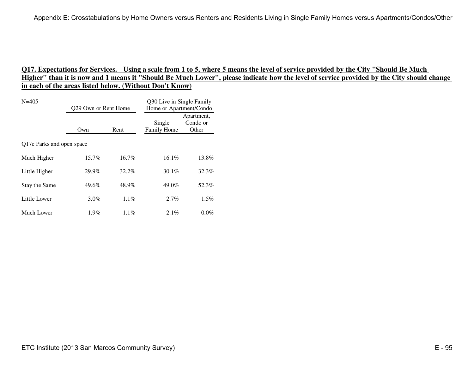| $N = 405$                 | Q29 Own or Rent Home |          | Q30 Live in Single Family<br>Home or Apartment/Condo |                                 |  |
|---------------------------|----------------------|----------|------------------------------------------------------|---------------------------------|--|
|                           | Own                  | Rent     | Single<br>Family Home                                | Apartment,<br>Condo or<br>Other |  |
| Q17e Parks and open space |                      |          |                                                      |                                 |  |
| Much Higher               | $15.7\%$             | $16.7\%$ | $16.1\%$                                             | 13.8%                           |  |
| Little Higher             | 29.9%                | 32.2%    | $30.1\%$                                             | 32.3%                           |  |
| Stay the Same             | 49.6%                | 48.9%    | 49.0%                                                | 52.3%                           |  |
| Little Lower              | $3.0\%$              | $1.1\%$  | $2.7\%$                                              | $1.5\%$                         |  |
| Much Lower                | $1.9\%$              | $1.1\%$  | $2.1\%$                                              | $0.0\%$                         |  |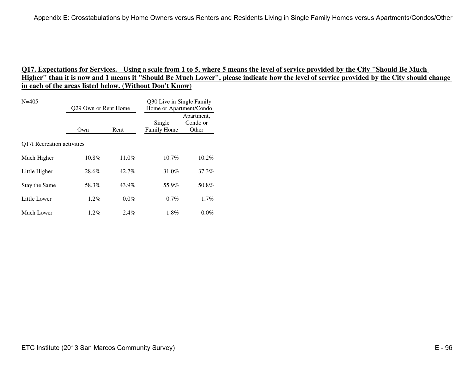| $N = 405$                         | Q29 Own or Rent Home |         | Q30 Live in Single Family<br>Home or Apartment/Condo |                                 |  |
|-----------------------------------|----------------------|---------|------------------------------------------------------|---------------------------------|--|
|                                   | Own                  | Rent    | Single<br>Family Home                                | Apartment,<br>Condo or<br>Other |  |
| <b>Q17f Recreation activities</b> |                      |         |                                                      |                                 |  |
| Much Higher                       | $10.8\%$             | 11.0%   | $10.7\%$                                             | $10.2\%$                        |  |
| Little Higher                     | 28.6%                | 42.7%   | 31.0%                                                | 37.3%                           |  |
| Stay the Same                     | 58.3%                | 43.9%   | 55.9%                                                | 50.8%                           |  |
| Little Lower                      | $1.2\%$              | $0.0\%$ | $0.7\%$                                              | $1.7\%$                         |  |
| Much Lower                        | $1.2\%$              | $2.4\%$ | $1.8\%$                                              | $0.0\%$                         |  |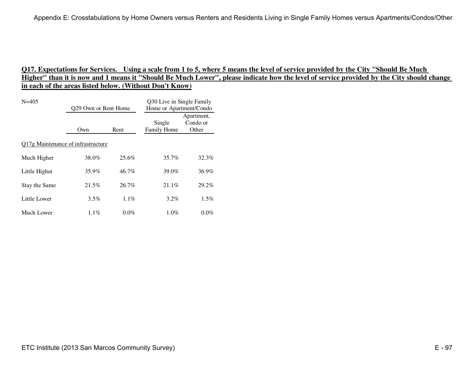| $N = 405$                                 | Q29 Own or Rent Home |         | Q30 Live in Single Family<br>Home or Apartment/Condo |                                 |  |
|-------------------------------------------|----------------------|---------|------------------------------------------------------|---------------------------------|--|
|                                           | Own                  | Rent    | Single<br>Family Home                                | Apartment,<br>Condo or<br>Other |  |
| <b>Q17g Maintenance of infrastructure</b> |                      |         |                                                      |                                 |  |
| Much Higher                               | 38.0%                | 25.6%   | 35.7%                                                | 32.3%                           |  |
| Little Higher                             | 35.9%                | 46.7%   | 39.0%                                                | 36.9%                           |  |
| Stay the Same                             | 21.5%                | 26.7%   | $21.1\%$                                             | 29.2%                           |  |
| Little Lower                              | $3.5\%$              | $1.1\%$ | $3.2\%$                                              | $1.5\%$                         |  |
| Much Lower                                | $1.1\%$              | $0.0\%$ | $1.0\%$                                              | $0.0\%$                         |  |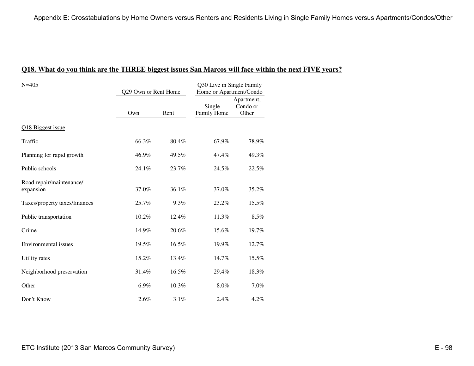| $N = 405$                             | Q29 Own or Rent Home |       | Q30 Live in Single Family<br>Home or Apartment/Condo |                                 |
|---------------------------------------|----------------------|-------|------------------------------------------------------|---------------------------------|
|                                       | Own                  | Rent  | Single<br>Family Home                                | Apartment,<br>Condo or<br>Other |
| Q18 Biggest issue                     |                      |       |                                                      |                                 |
| Traffic                               | 66.3%                | 80.4% | 67.9%                                                | 78.9%                           |
| Planning for rapid growth             | 46.9%                | 49.5% | 47.4%                                                | 49.3%                           |
| Public schools                        | 24.1%                | 23.7% | 24.5%                                                | 22.5%                           |
| Road repair/maintenance/<br>expansion | 37.0%                | 36.1% | 37.0%                                                | 35.2%                           |
| Taxes/property taxes/finances         | 25.7%                | 9.3%  | 23.2%                                                | 15.5%                           |
| Public transportation                 | 10.2%                | 12.4% | 11.3%                                                | 8.5%                            |
| Crime                                 | 14.9%                | 20.6% | 15.6%                                                | 19.7%                           |
| Environmental issues                  | 19.5%                | 16.5% | 19.9%                                                | 12.7%                           |
| Utility rates                         | 15.2%                | 13.4% | 14.7%                                                | 15.5%                           |
| Neighborhood preservation             | 31.4%                | 16.5% | 29.4%                                                | 18.3%                           |
| Other                                 | 6.9%                 | 10.3% | 8.0%                                                 | 7.0%                            |
| Don't Know                            | 2.6%                 | 3.1%  | 2.4%                                                 | 4.2%                            |

#### **Q18. What do you think are the THREE biggest issues San Marcos will face within the next FIVE years?**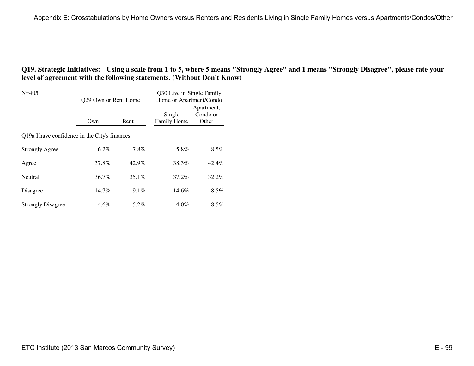| $N = 405$                                     | Q29 Own or Rent Home |          | Q30 Live in Single Family<br>Home or Apartment/Condo |                                 |  |  |
|-----------------------------------------------|----------------------|----------|------------------------------------------------------|---------------------------------|--|--|
|                                               | Own                  | Rent     | Single<br>Family Home                                | Apartment,<br>Condo or<br>Other |  |  |
| Q19a I have confidence in the City's finances |                      |          |                                                      |                                 |  |  |
| <b>Strongly Agree</b>                         | $6.2\%$              | 7.8%     | 5.8%                                                 | $8.5\%$                         |  |  |
| Agree                                         | 37.8%                | 42.9%    | 38.3%                                                | 42.4%                           |  |  |
| Neutral                                       | $36.7\%$             | $35.1\%$ | 37.2%                                                | 32.2%                           |  |  |
| Disagree                                      | $14.7\%$             | $9.1\%$  | 14.6%                                                | $8.5\%$                         |  |  |
| <b>Strongly Disagree</b>                      | $4.6\%$              | 5.2%     | $4.0\%$                                              | $8.5\%$                         |  |  |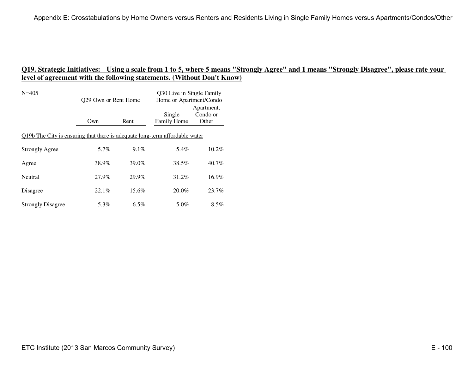| $N = 405$                                                                   | Q29 Own or Rent Home |          | 030 Live in Single Family<br>Home or Apartment/Condo |                                 |
|-----------------------------------------------------------------------------|----------------------|----------|------------------------------------------------------|---------------------------------|
|                                                                             | Own                  | Rent     | Single<br>Family Home                                | Apartment,<br>Condo or<br>Other |
| Q19b The City is ensuring that there is adequate long-term affordable water |                      |          |                                                      |                                 |
| <b>Strongly Agree</b>                                                       | 5.7%                 | 9.1%     | 5.4%                                                 | $10.2\%$                        |
| Agree                                                                       | 38.9%                | 39.0%    | 38.5%                                                | 40.7%                           |
| Neutral                                                                     | 27.9%                | 29.9%    | 31.2%                                                | $16.9\%$                        |
| Disagree                                                                    | 22.1%                | $15.6\%$ | $20.0\%$                                             | 23.7%                           |
| <b>Strongly Disagree</b>                                                    | 5.3%                 | $6.5\%$  | 5.0%                                                 | $8.5\%$                         |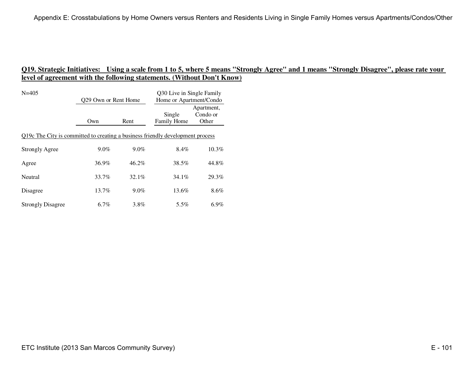| $N = 405$                                                                      | Q29 Own or Rent Home |         | Q30 Live in Single Family<br>Home or Apartment/Condo |                                 |
|--------------------------------------------------------------------------------|----------------------|---------|------------------------------------------------------|---------------------------------|
|                                                                                | Own                  | Rent    | Single<br>Family Home                                | Apartment,<br>Condo or<br>Other |
| Q19c The City is committed to creating a business friendly development process |                      |         |                                                      |                                 |
| <b>Strongly Agree</b>                                                          | $9.0\%$              | $9.0\%$ | 8.4%                                                 | $10.3\%$                        |
| Agree                                                                          | 36.9%                | 46.2%   | 38.5%                                                | 44.8%                           |
| Neutral                                                                        | 33.7%                | 32.1%   | $34.1\%$                                             | 29.3%                           |
| Disagree                                                                       | $13.7\%$             | $9.0\%$ | 13.6%                                                | 8.6%                            |
| <b>Strongly Disagree</b>                                                       | 6.7%                 | 3.8%    | 5.5%                                                 | $6.9\%$                         |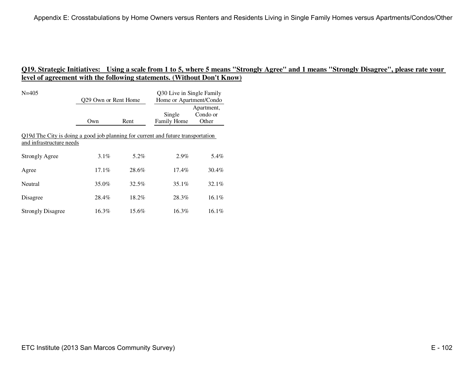| $N = 405$                                                                                                    | Q29 Own or Rent Home |       | Q30 Live in Single Family<br>Home or Apartment/Condo |                                 |
|--------------------------------------------------------------------------------------------------------------|----------------------|-------|------------------------------------------------------|---------------------------------|
|                                                                                                              | Own                  | Rent  | Single<br><b>Family Home</b>                         | Apartment,<br>Condo or<br>Other |
| Q19d The City is doing a good job planning for current and future transportation<br>and infrastructure needs |                      |       |                                                      |                                 |
| <b>Strongly Agree</b>                                                                                        | $3.1\%$              | 5.2%  | $2.9\%$                                              | 5.4%                            |
| Agree                                                                                                        | $17.1\%$             | 28.6% | $17.4\%$                                             | 30.4%                           |
| Neutral                                                                                                      | 35.0%                | 32.5% | $35.1\%$                                             | $32.1\%$                        |
| Disagree                                                                                                     | 28.4%                | 18.2% | 28.3%                                                | $16.1\%$                        |
| <b>Strongly Disagree</b>                                                                                     | 16.3%                | 15.6% | 16.3%                                                | $16.1\%$                        |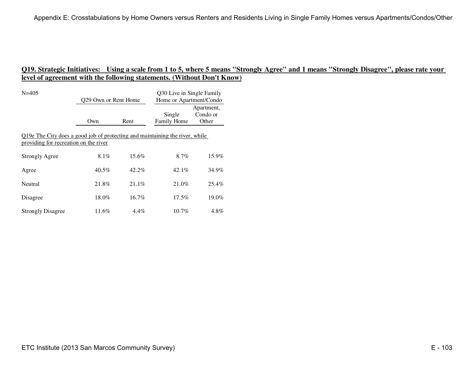| $N = 405$                                                                                                             | Q29 Own or Rent Home |         | Q30 Live in Single Family<br>Home or Apartment/Condo |                                 |  |
|-----------------------------------------------------------------------------------------------------------------------|----------------------|---------|------------------------------------------------------|---------------------------------|--|
|                                                                                                                       | Own                  | Rent    | Single<br>Family Home                                | Apartment,<br>Condo or<br>Other |  |
| Q19e The City does a good job of protecting and maintaining the river, while<br>providing for recreation on the river |                      |         |                                                      |                                 |  |
| <b>Strongly Agree</b>                                                                                                 | $8.1\%$              | 15.6%   | 8.7%                                                 | 15.9%                           |  |
| Agree                                                                                                                 | $40.5\%$             | 42.2%   | 42.1%                                                | 34.9%                           |  |
| Neutral                                                                                                               | 21.8%                | 21.1%   | 21.0%                                                | 25.4%                           |  |
| Disagree                                                                                                              | 18.0%                | 16.7%   | $17.5\%$                                             | 19.0%                           |  |
| <b>Strongly Disagree</b>                                                                                              | 11.6%                | $4.4\%$ | $10.7\%$                                             | 4.8%                            |  |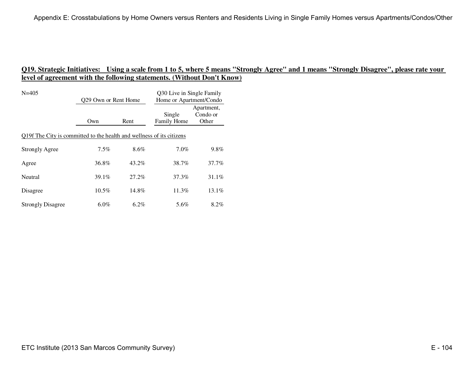| $N = 405$                                                             | Q29 Own or Rent Home |       | Q30 Live in Single Family<br>Home or Apartment/Condo |                                 |  |
|-----------------------------------------------------------------------|----------------------|-------|------------------------------------------------------|---------------------------------|--|
|                                                                       | Own                  | Rent  | Single<br>Family Home                                | Apartment,<br>Condo or<br>Other |  |
| Q19f The City is committed to the health and wellness of its citizens |                      |       |                                                      |                                 |  |
| <b>Strongly Agree</b>                                                 | $7.5\%$              | 8.6%  | $7.0\%$                                              | $9.8\%$                         |  |
| Agree                                                                 | 36.8%                | 43.2% | 38.7%                                                | 37.7%                           |  |
| Neutral                                                               | 39.1%                | 27.2% | 37.3%                                                | $31.1\%$                        |  |
| Disagree                                                              | $10.5\%$             | 14.8% | 11.3%                                                | 13.1%                           |  |
| <b>Strongly Disagree</b>                                              | $6.0\%$              | 6.2%  | 5.6%                                                 | 8.2%                            |  |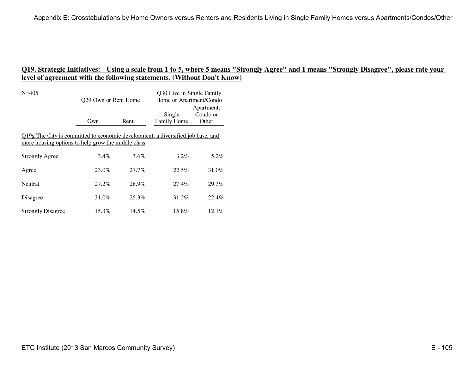| $N = 405$                                                                                                                             | Q29 Own or Rent Home |          | Q30 Live in Single Family<br>Home or Apartment/Condo |                                 |  |
|---------------------------------------------------------------------------------------------------------------------------------------|----------------------|----------|------------------------------------------------------|---------------------------------|--|
|                                                                                                                                       | Own                  | Rent     | Single<br><b>Family Home</b>                         | Apartment,<br>Condo or<br>Other |  |
| Q19g The City is committed to economic development, a diversified job base, and<br>more housing options to help grow the middle class |                      |          |                                                      |                                 |  |
| <b>Strongly Agree</b>                                                                                                                 | $3.4\%$              | 3.6%     | $3.2\%$                                              | 5.2%                            |  |
| Agree                                                                                                                                 | 23.0%                | 27.7%    | 22.5%                                                | 31.0%                           |  |
| Neutral                                                                                                                               | 27.2%                | 28.9%    | 27.4%                                                | 29.3%                           |  |
| Disagree                                                                                                                              | 31.0%                | 25.3%    | 31.2%                                                | 22.4%                           |  |
| <b>Strongly Disagree</b>                                                                                                              | $15.3\%$             | $14.5\%$ | 15.8%                                                | $12.1\%$                        |  |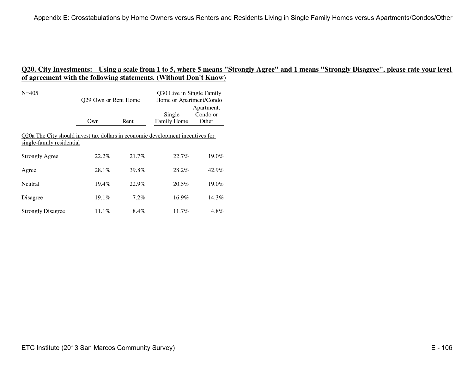| $N = 405$                                                                                                   | Q29 Own or Rent Home |         | Q30 Live in Single Family<br>Home or Apartment/Condo |                                 |
|-------------------------------------------------------------------------------------------------------------|----------------------|---------|------------------------------------------------------|---------------------------------|
|                                                                                                             | Own                  | Rent    | Single<br><b>Family Home</b>                         | Apartment,<br>Condo or<br>Other |
| Q20a The City should invest tax dollars in economic development incentives for<br>single-family residential |                      |         |                                                      |                                 |
| <b>Strongly Agree</b>                                                                                       | $22.2\%$             | 21.7%   | 22.7%                                                | 19.0%                           |
| Agree                                                                                                       | $28.1\%$             | 39.8%   | 28.2%                                                | 42.9%                           |
| Neutral                                                                                                     | $19.4\%$             | 22.9%   | 20.5%                                                | $19.0\%$                        |
| Disagree                                                                                                    | $19.1\%$             | $7.2\%$ | $16.9\%$                                             | 14.3%                           |
| <b>Strongly Disagree</b>                                                                                    | $11.1\%$             | 8.4%    | $11.7\%$                                             | $4.8\%$                         |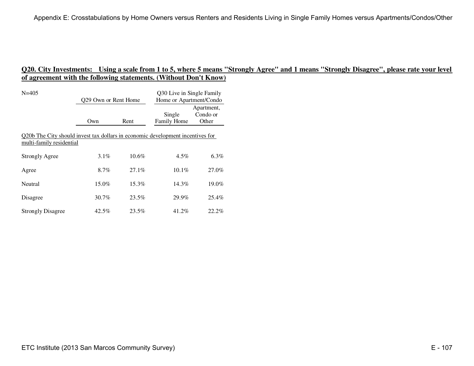| $N = 405$                                                                                                  | 029 Own or Rent Home |       | Q30 Live in Single Family<br>Home or Apartment/Condo |                                 |  |
|------------------------------------------------------------------------------------------------------------|----------------------|-------|------------------------------------------------------|---------------------------------|--|
|                                                                                                            | Own                  | Rent  | Single<br><b>Family Home</b>                         | Apartment,<br>Condo or<br>Other |  |
| Q20b The City should invest tax dollars in economic development incentives for<br>multi-family residential |                      |       |                                                      |                                 |  |
| <b>Strongly Agree</b>                                                                                      | $3.1\%$              | 10.6% | $4.5\%$                                              | $6.3\%$                         |  |
| Agree                                                                                                      | 8.7%                 | 27.1% | $10.1\%$                                             | 27.0%                           |  |
| Neutral                                                                                                    | $15.0\%$             | 15.3% | 14.3%                                                | 19.0%                           |  |
| Disagree                                                                                                   | $30.7\%$             | 23.5% | 29.9%                                                | 25.4%                           |  |
| <b>Strongly Disagree</b>                                                                                   | $42.5\%$             | 23.5% | 41.2%                                                | 22.2%                           |  |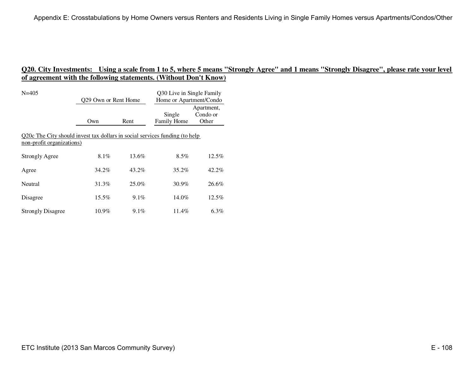| $N = 405$                                                                                                | Q29 Own or Rent Home |         | Q30 Live in Single Family<br>Home or Apartment/Condo |                                 |  |  |
|----------------------------------------------------------------------------------------------------------|----------------------|---------|------------------------------------------------------|---------------------------------|--|--|
|                                                                                                          | Own                  | Rent    | Single<br><b>Family Home</b>                         | Apartment,<br>Condo or<br>Other |  |  |
| Q20c The City should invest tax dollars in social services funding (to help<br>non-profit organizations) |                      |         |                                                      |                                 |  |  |
| <b>Strongly Agree</b>                                                                                    | $8.1\%$              | 13.6%   | $8.5\%$                                              | $12.5\%$                        |  |  |
| Agree                                                                                                    | 34.2%                | 43.2%   | $35.2\%$                                             | $42.2\%$                        |  |  |
| Neutral                                                                                                  | 31.3%                | 25.0%   | $30.9\%$                                             | 26.6%                           |  |  |
| Disagree                                                                                                 | 15.5%                | $9.1\%$ | $14.0\%$                                             | $12.5\%$                        |  |  |
| <b>Strongly Disagree</b>                                                                                 | $10.9\%$             | $9.1\%$ | $11.4\%$                                             | $6.3\%$                         |  |  |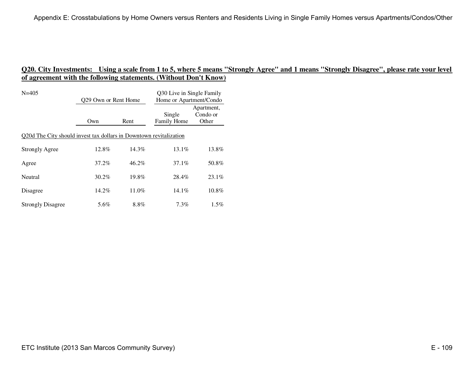| $N = 405$                                                          | Q29 Own or Rent Home |       | Q30 Live in Single Family<br>Home or Apartment/Condo |                                 |  |
|--------------------------------------------------------------------|----------------------|-------|------------------------------------------------------|---------------------------------|--|
|                                                                    | Own                  | Rent  | Single<br>Family Home                                | Apartment,<br>Condo or<br>Other |  |
| Q20d The City should invest tax dollars in Downtown revitalization |                      |       |                                                      |                                 |  |
| <b>Strongly Agree</b>                                              | 12.8%                | 14.3% | $13.1\%$                                             | 13.8%                           |  |
| Agree                                                              | 37.2%                | 46.2% | 37.1%                                                | 50.8%                           |  |
| Neutral                                                            | 30.2%                | 19.8% | 28.4%                                                | $23.1\%$                        |  |
| Disagree                                                           | 14.2%                | 11.0% | $14.1\%$                                             | 10.8%                           |  |
| <b>Strongly Disagree</b>                                           | 5.6%                 | 8.8%  | $7.3\%$                                              | $1.5\%$                         |  |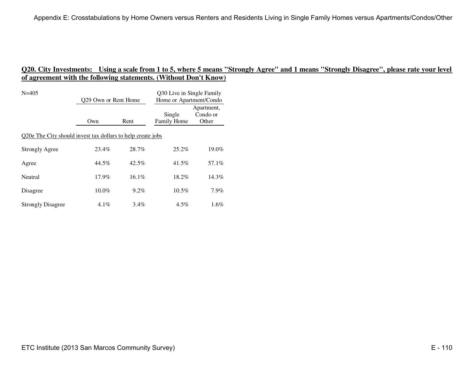| $N = 405$                                                   | Q29 Own or Rent Home |         | Q30 Live in Single Family<br>Home or Apartment/Condo |                                 |  |
|-------------------------------------------------------------|----------------------|---------|------------------------------------------------------|---------------------------------|--|
|                                                             | Own                  | Rent    | Single<br>Family Home                                | Apartment,<br>Condo or<br>Other |  |
| Q20e The City should invest tax dollars to help create jobs |                      |         |                                                      |                                 |  |
| <b>Strongly Agree</b>                                       | 23.4%                | 28.7%   | 25.2%                                                | 19.0%                           |  |
| Agree                                                       | 44.5%                | 42.5%   | 41.5%                                                | 57.1%                           |  |
| Neutral                                                     | $17.9\%$             | 16.1%   | 18.2%                                                | 14.3%                           |  |
| Disagree                                                    | $10.0\%$             | 9.2%    | $10.5\%$                                             | 7.9%                            |  |
| <b>Strongly Disagree</b>                                    | $4.1\%$              | $3.4\%$ | $4.5\%$                                              | 1.6%                            |  |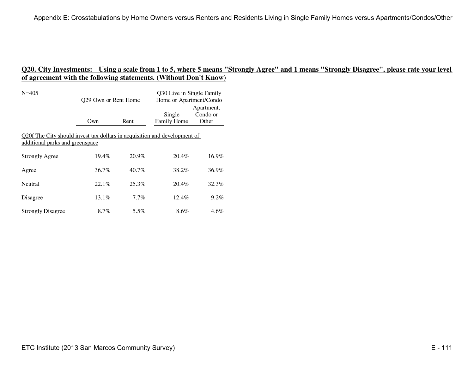| $N = 405$                                                                                                    | Q29 Own or Rent Home |         | Q30 Live in Single Family<br>Home or Apartment/Condo |                                 |  |  |
|--------------------------------------------------------------------------------------------------------------|----------------------|---------|------------------------------------------------------|---------------------------------|--|--|
|                                                                                                              | Own                  | Rent    | Single<br>Family Home                                | Apartment,<br>Condo or<br>Other |  |  |
| Q20f The City should invest tax dollars in acquisition and development of<br>additional parks and greenspace |                      |         |                                                      |                                 |  |  |
| <b>Strongly Agree</b>                                                                                        | $19.4\%$             | 20.9%   | 20.4%                                                | 16.9%                           |  |  |
| Agree                                                                                                        | $36.7\%$             | 40.7%   | 38.2%                                                | 36.9%                           |  |  |
| Neutral                                                                                                      | 22.1%                | 25.3%   | 20.4%                                                | 32.3%                           |  |  |
| Disagree                                                                                                     | $13.1\%$             | $7.7\%$ | $12.4\%$                                             | $9.2\%$                         |  |  |
| <b>Strongly Disagree</b>                                                                                     | 8.7%                 | 5.5%    | $8.6\%$                                              | $4.6\%$                         |  |  |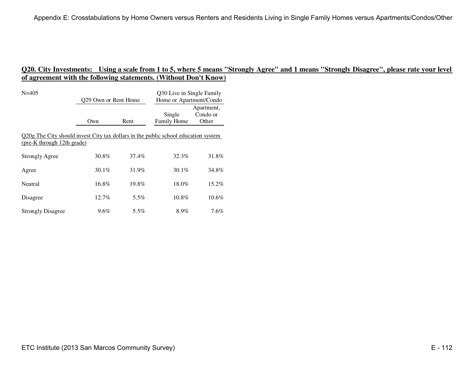| $N = 405$                                                                                                        | Q29 Own or Rent Home |         | Q30 Live in Single Family<br>Home or Apartment/Condo |                                 |  |  |
|------------------------------------------------------------------------------------------------------------------|----------------------|---------|------------------------------------------------------|---------------------------------|--|--|
|                                                                                                                  | Own                  | Rent    | Single<br><b>Family Home</b>                         | Apartment,<br>Condo or<br>Other |  |  |
| Q20g The City should invest City tax dollars in the public school education system<br>(pre-K through 12th grade) |                      |         |                                                      |                                 |  |  |
| <b>Strongly Agree</b>                                                                                            | 30.8%                | 37.4%   | 32.3%                                                | 31.8%                           |  |  |
| Agree                                                                                                            | $30.1\%$             | 31.9%   | 30.1%                                                | 34.8%                           |  |  |
| Neutral                                                                                                          | 16.8%                | 19.8%   | 18.0%                                                | 15.2%                           |  |  |
| Disagree                                                                                                         | $12.7\%$             | $5.5\%$ | 10.8%                                                | $10.6\%$                        |  |  |
| <b>Strongly Disagree</b>                                                                                         | 9.6%                 | $5.5\%$ | 8.9%                                                 | $7.6\%$                         |  |  |